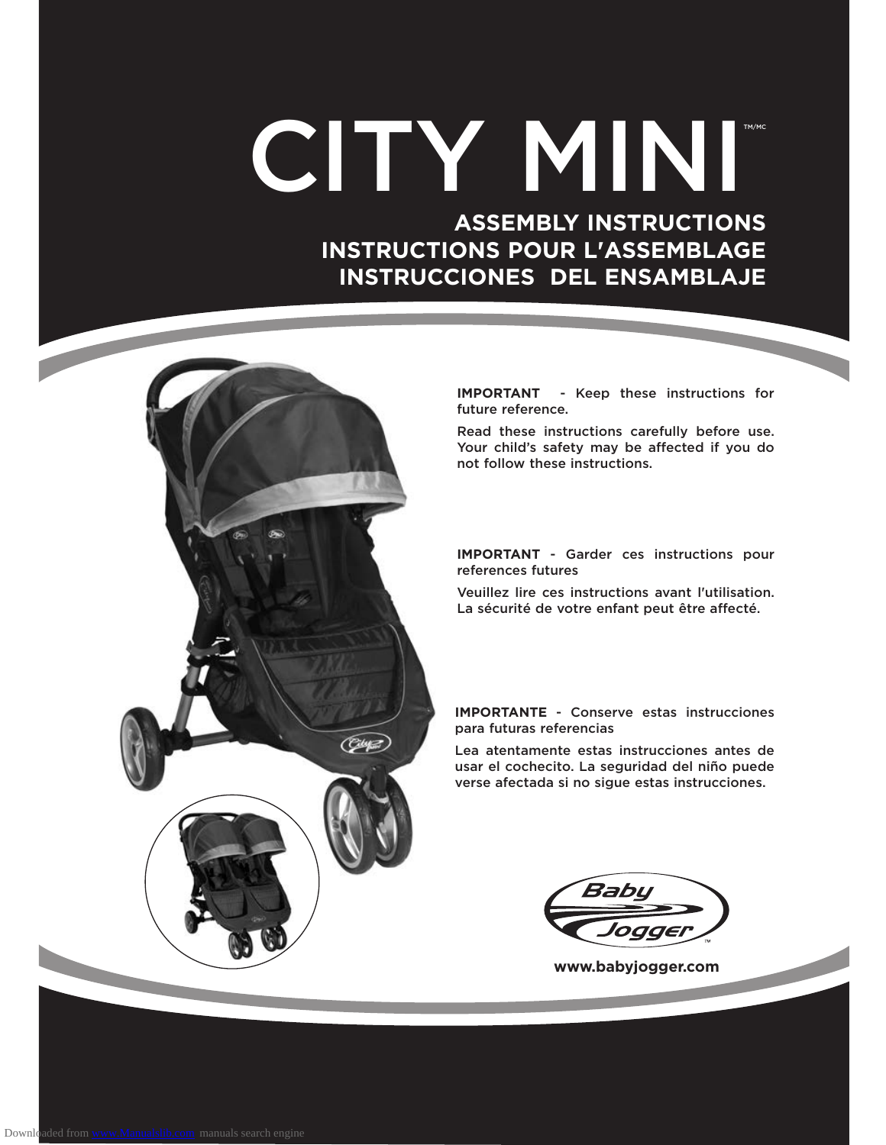# CITY MINI

 **ASSEMBLY INSTRUCTIONS INSTRUCTIONS POUR L'ASSEMBLAGE INSTRUCCIONES DEL ENSAMBLAJE**



**IMPORTANT** - Keep these instructions for future reference.

Read these instructions carefully before use. Your child's safety may be affected if you do not follow these instructions.

**IMPORTANT** - Garder ces instructions pour references futures

Veuillez lire ces instructions avant l'utilisation. La sécurité de votre enfant peut être affecté.

**IMPORTANTE** - Conserve estas instrucciones para futuras referencias

Lea atentamente estas instrucciones antes de usar el cochecito. La seguridad del niño puede verse afectada si no sigue estas instrucciones.

Babu

**www.babyjogger.com**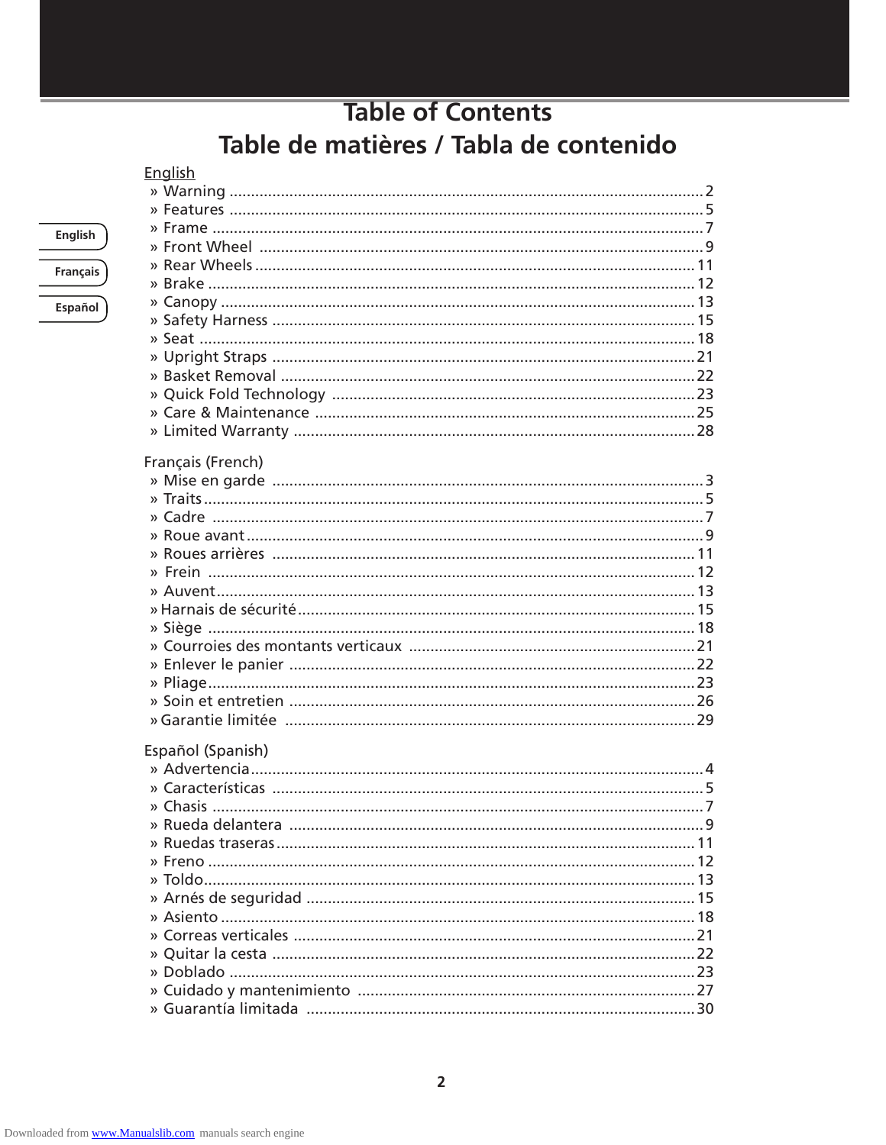# **Table of Contents** Table de matières / Tabla de contenido

#### English

| Français (French) |  |
|-------------------|--|
|                   |  |
|                   |  |
|                   |  |
|                   |  |
|                   |  |
|                   |  |
|                   |  |
|                   |  |
|                   |  |
|                   |  |
|                   |  |
|                   |  |
|                   |  |
|                   |  |
|                   |  |
| Español (Spanish) |  |
|                   |  |
|                   |  |
|                   |  |
|                   |  |
|                   |  |
|                   |  |
|                   |  |
|                   |  |
|                   |  |
|                   |  |
|                   |  |

#### **English**

Français

Español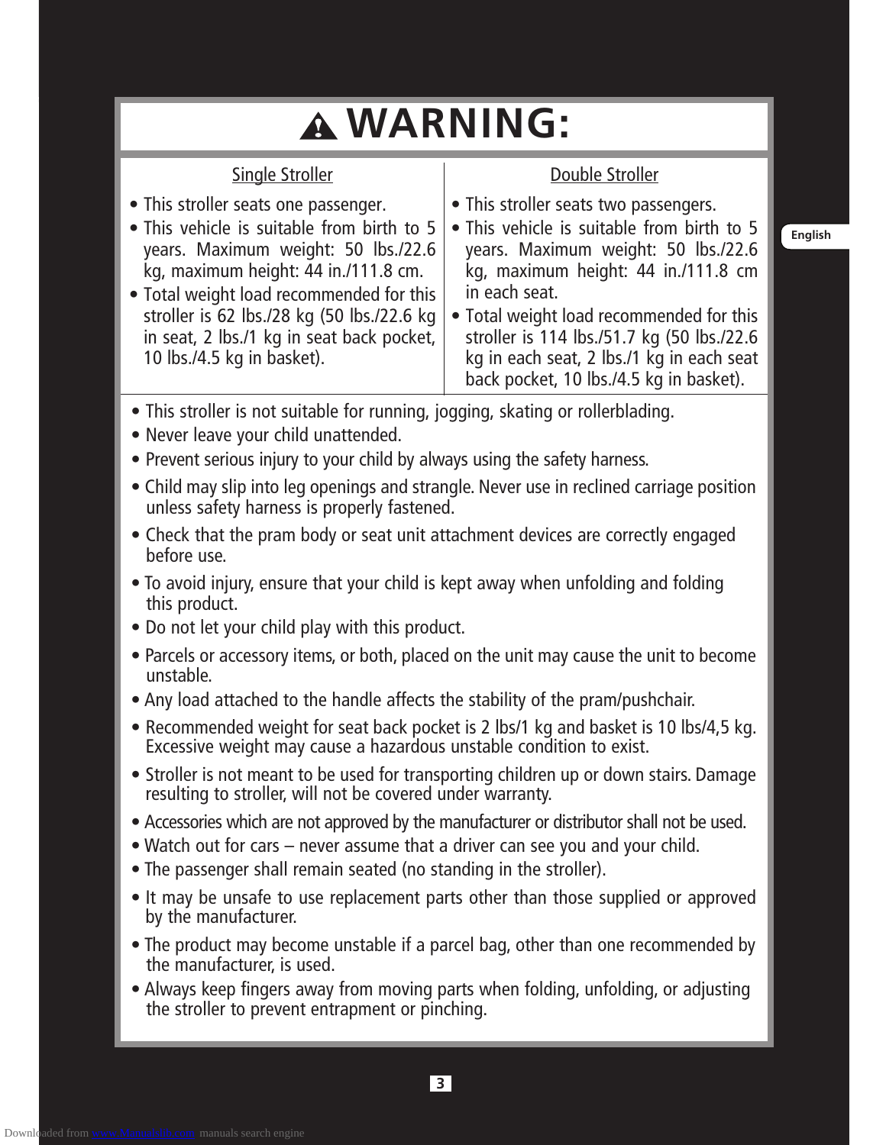# **WARNING:**

- This stroller seats one passenger.
- This vehicle is suitable from birth to 5 years. Maximum weight: 50 lbs./22.6 kg, maximum height: 44 in./111.8 cm.

Single Stroller

- Total weight load recommended for this stroller is 62 lbs./28 kg (50 lbs./22.6 kg in seat, 2 lbs./1 kg in seat back pocket, 10 lbs./4.5 kg in basket).
- This stroller seats two passengers.
- This vehicle is suitable from birth to 5 years. Maximum weight: 50 lbs./22.6 kg, maximum height: 44 in./111.8 cm in each seat.

Double Stroller

- Total weight load recommended for this stroller is 114 lbs./51.7 kg (50 lbs./22.6 kg in each seat, 2 lbs./1 kg in each seat back pocket, 10 lbs./4.5 kg in basket).
- This stroller is not suitable for running, jogging, skating or rollerblading.
- Never leave your child unattended.
- Prevent serious injury to your child by always using the safety harness.
- Child may slip into leg openings and strangle. Never use in reclined carriage position unless safety harness is properly fastened.
- Check that the pram body or seat unit attachment devices are correctly engaged before use.
- To avoid injury, ensure that your child is kept away when unfolding and folding this product.
- Do not let your child play with this product.
- Parcels or accessory items, or both, placed on the unit may cause the unit to become unstable.
- Any load attached to the handle affects the stability of the pram/pushchair.
- Recommended weight for seat back pocket is 2 lbs/1 kg and basket is 10 lbs/4,5 kg. Excessive weight may cause a hazardous unstable condition to exist.
- Stroller is not meant to be used for transporting children up or down stairs. Damage resulting to stroller, will not be covered under warranty.
- Accessories which are not approved by the manufacturer or distributor shall not be used.
- Watch out for cars never assume that a driver can see you and your child.
- The passenger shall remain seated (no standing in the stroller).
- It may be unsafe to use replacement parts other than those supplied or approved by the manufacturer.
- The product may become unstable if a parcel bag, other than one recommended by the manufacturer, is used.
- Always keep fingers away from moving parts when folding, unfolding, or adjusting the stroller to prevent entrapment or pinching.

**English**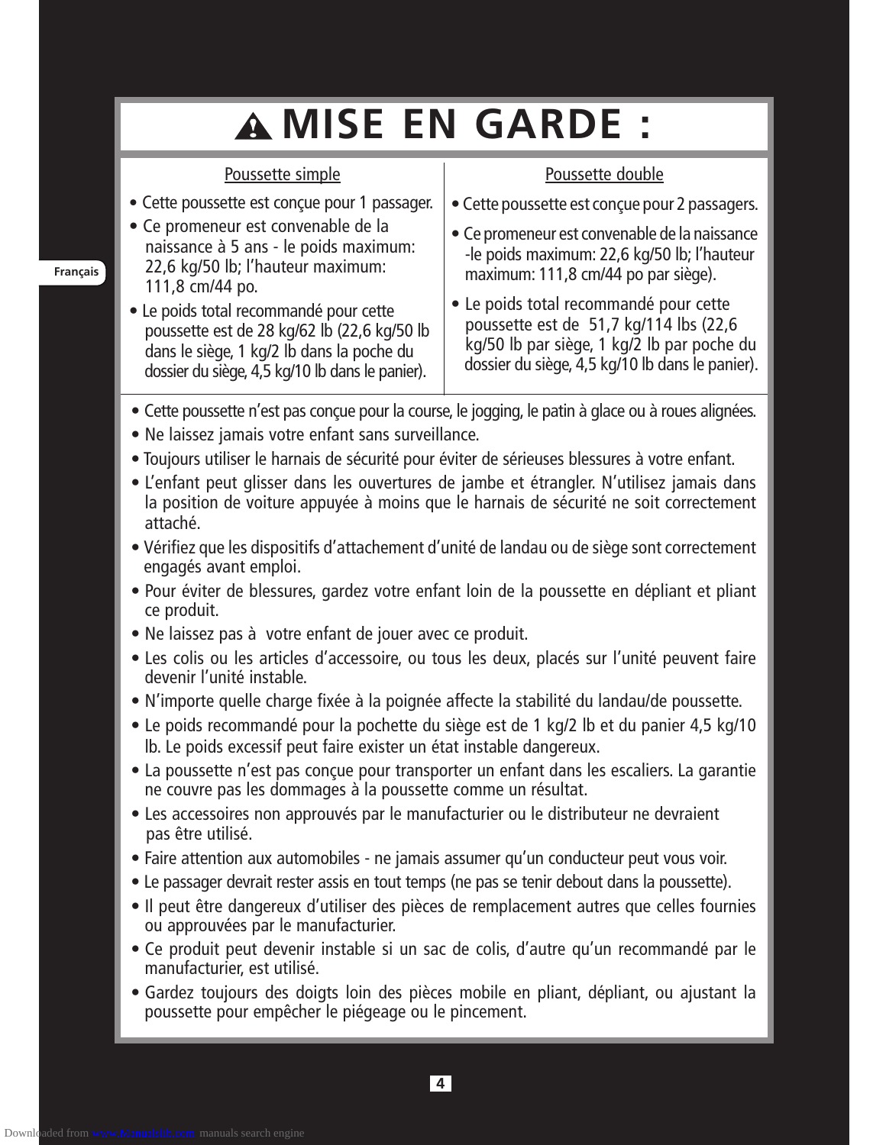# **MISE EN GARDE :**

#### Poussette simple

#### • Cette poussette est conçue pour 1 passager.

- Ce promeneur est convenable de la naissance à 5 ans - le poids maximum: 22,6 kg/50 lb; l'hauteur maximum: 111,8 cm/44 po.
- Le poids total recommandé pour cette poussette est de 28 kg/62 lb (22,6 kg/50 lb dans le siège, 1 kg/2 lb dans la poche du dossier du siège, 4,5 kg/10 lb dans le panier).

#### Poussette double

- Cette poussette est conçue pour 2 passagers.
- Ce promeneur est convenable de la naissance -le poids maximum: 22,6 kg/50 lb; l'hauteur maximum: 111,8 cm/44 po par siège).
- Le poids total recommandé pour cette poussette est de 51,7 kg/114 lbs (22,6 kg/50 lb par siège, 1 kg/2 lb par poche du dossier du siège, 4,5 kg/10 lb dans le panier).
- Cette poussette n'est pas conçue pour la course, le jogging, le patin à glace ou à roues alignées.
- Ne laissez jamais votre enfant sans surveillance.
- Toujours utiliser le harnais de sécurité pour éviter de sérieuses blessures à votre enfant.
- L'enfant peut glisser dans les ouvertures de jambe et étrangler. N'utilisez jamais dans la position de voiture appuyée à moins que le harnais de sécurité ne soit correctement attaché.
- Vérifiez que les dispositifs d'attachement d'unité de landau ou de siège sont correctement engagés avant emploi.
- Pour éviter de blessures, gardez votre enfant loin de la poussette en dépliant et pliant ce produit.
- Ne laissez pas à votre enfant de jouer avec ce produit.
- Les colis ou les articles d'accessoire, ou tous les deux, placés sur l'unité peuvent faire devenir l'unité instable.
- N'importe quelle charge fixée à la poignée affecte la stabilité du landau/de poussette.
- Le poids recommandé pour la pochette du siège est de 1 kg/2 lb et du panier 4,5 kg/10 lb. Le poids excessif peut faire exister un état instable dangereux.
- La poussette n'est pas conçue pour transporter un enfant dans les escaliers. La garantie ne couvre pas les dommages à la poussette comme un résultat.
- Les accessoires non approuvés par le manufacturier ou le distributeur ne devraient pas être utilisé.
- Faire attention aux automobiles ne jamais assumer qu'un conducteur peut vous voir.
- Le passager devrait rester assis en tout temps (ne pas se tenir debout dans la poussette).
- Il peut être dangereux d'utiliser des pièces de remplacement autres que celles fournies ou approuvées par le manufacturier.
- Ce produit peut devenir instable si un sac de colis, d'autre qu'un recommandé par le manufacturier, est utilisé.
- Gardez toujours des doigts loin des pièces mobile en pliant, dépliant, ou ajustant la poussette pour empêcher le piégeage ou le pincement.

**4**

**Français**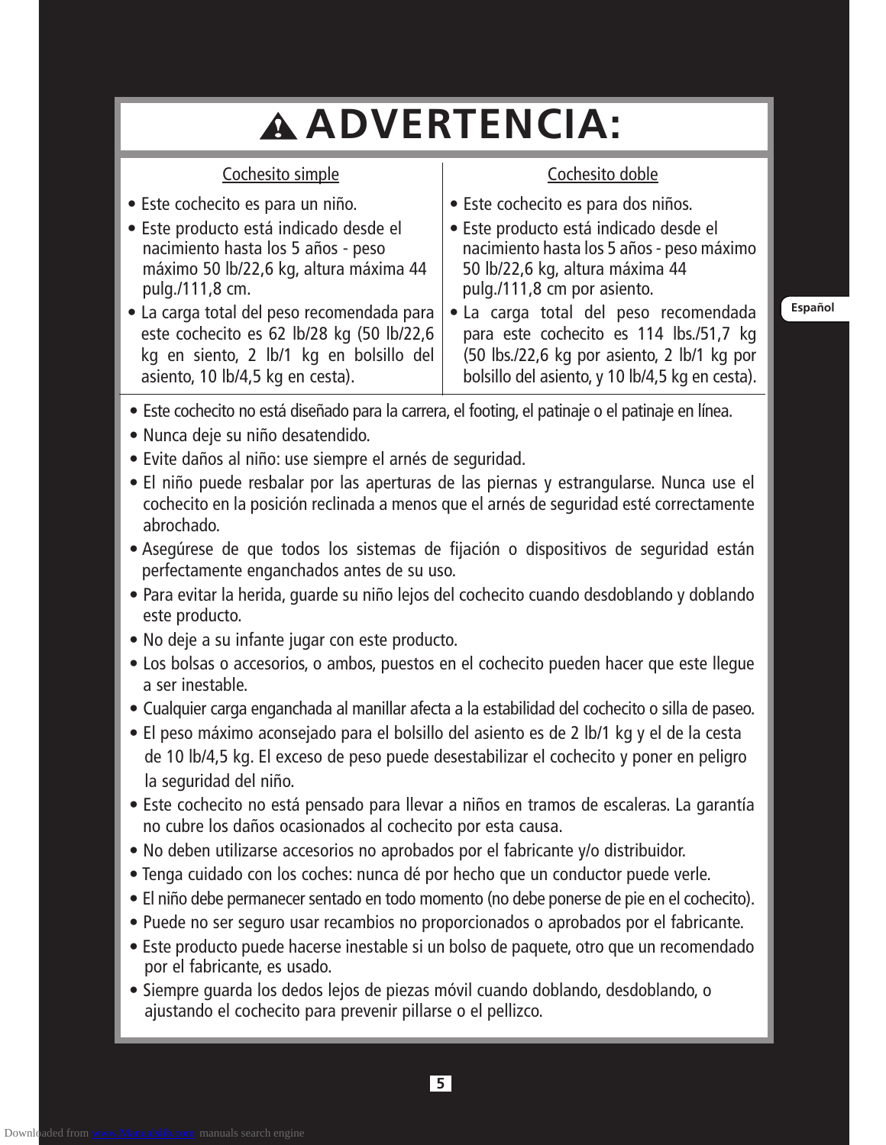# **ADVERTENCIA:**

#### Cochesito simple

#### • Este cochecito es para un niño.

- Este producto está indicado desde el nacimiento hasta los 5 años - peso máximo 50 lb/22,6 kg, altura máxima 44 pulg./111,8 cm.
- La carga total del peso recomendada para este cochecito es 62 lb/28 kg (50 lb/22,6 kg en siento, 2 lb/1 kg en bolsillo del asiento, 10 lb/4,5 kg en cesta).

# Cochesito doble

- Este cochecito es para dos niños.
- Este producto está indicado desde el nacimiento hasta los 5 años - peso máximo 50 lb/22,6 kg, altura máxima 44 pulg./111,8 cm por asiento.
- La carga total del peso recomendada para este cochecito es 114 lbs./51,7 kg (50 lbs./22,6 kg por asiento, 2 lb/1 kg por bolsillo del asiento, y 10 lb/4,5 kg en cesta).

**Español**

- Este cochecito no está diseñado para la carrera, el footing, el patinaje o el patinaje en línea.
- Nunca deje su niño desatendido.
- Evite daños al niño: use siempre el arnés de seguridad.
- El niño puede resbalar por las aperturas de las piernas y estrangularse. Nunca use el cochecito en la posición reclinada a menos que el arnés de seguridad esté correctamente abrochado.
- Asegúrese de que todos los sistemas de fijación o dispositivos de seguridad están perfectamente enganchados antes de su uso.
- Para evitar la herida, guarde su niño lejos del cochecito cuando desdoblando y doblando este producto.
- No deje a su infante jugar con este producto.
- Los bolsas o accesorios, o ambos, puestos en el cochecito pueden hacer que este llegue a ser inestable.
- Cualquier carga enganchada al manillar afecta a la estabilidad del cochecito o silla de paseo.
- El peso máximo aconsejado para el bolsillo del asiento es de 2 lb/1 kg y el de la cesta de 10 lb/4,5 kg. El exceso de peso puede desestabilizar el cochecito y poner en peligro la seguridad del niño.
- Este cochecito no está pensado para llevar a niños en tramos de escaleras. La garantía no cubre los daños ocasionados al cochecito por esta causa.
- No deben utilizarse accesorios no aprobados por el fabricante y/o distribuidor.
- Tenga cuidado con los coches: nunca dé por hecho que un conductor puede verle.
- El niño debe permanecer sentado en todo momento (no debe ponerse de pie en el cochecito).
- Puede no ser seguro usar recambios no proporcionados o aprobados por el fabricante.
- Este producto puede hacerse inestable si un bolso de paquete, otro que un recomendado por el fabricante, es usado.
- Siempre guarda los dedos lejos de piezas móvil cuando doblando, desdoblando, o ajustando el cochecito para prevenir pillarse o el pellizco.

Downloaded from [www.Manualslib.com](http://www.manualslib.com/) manuals search engine

**5**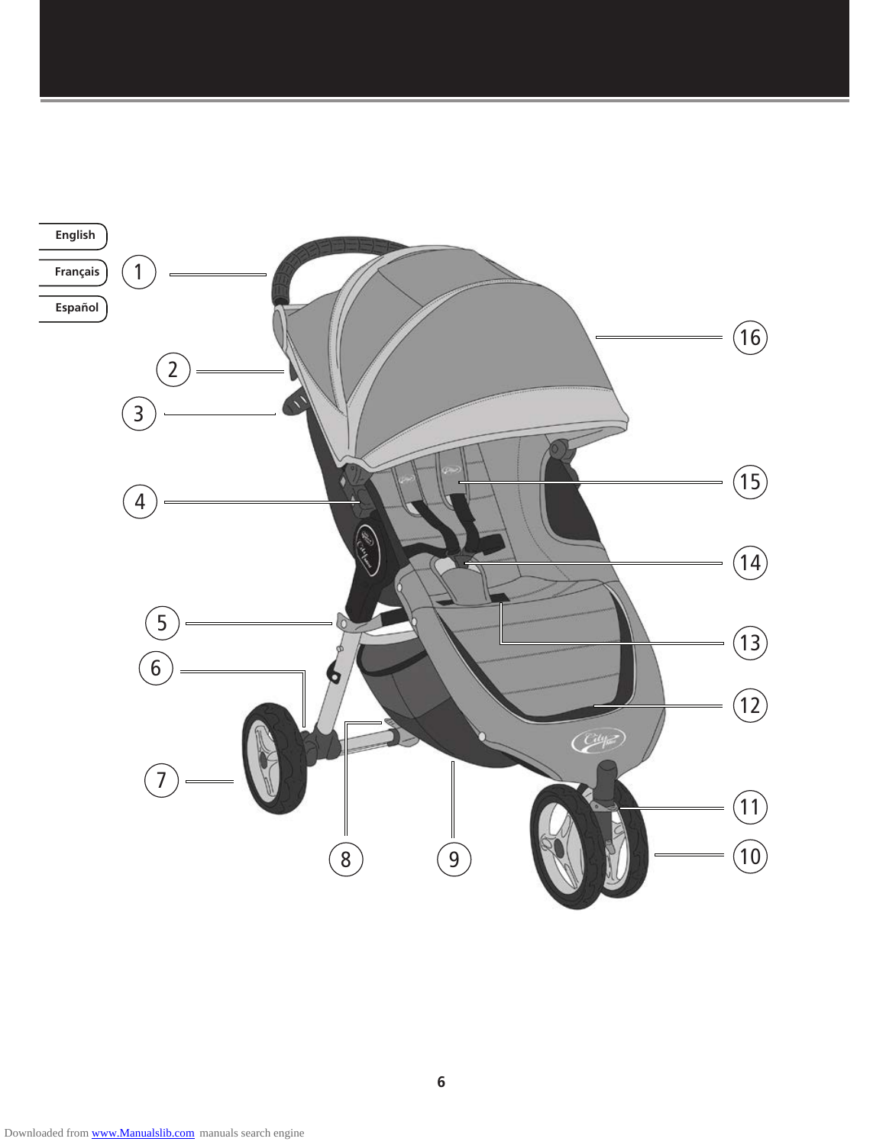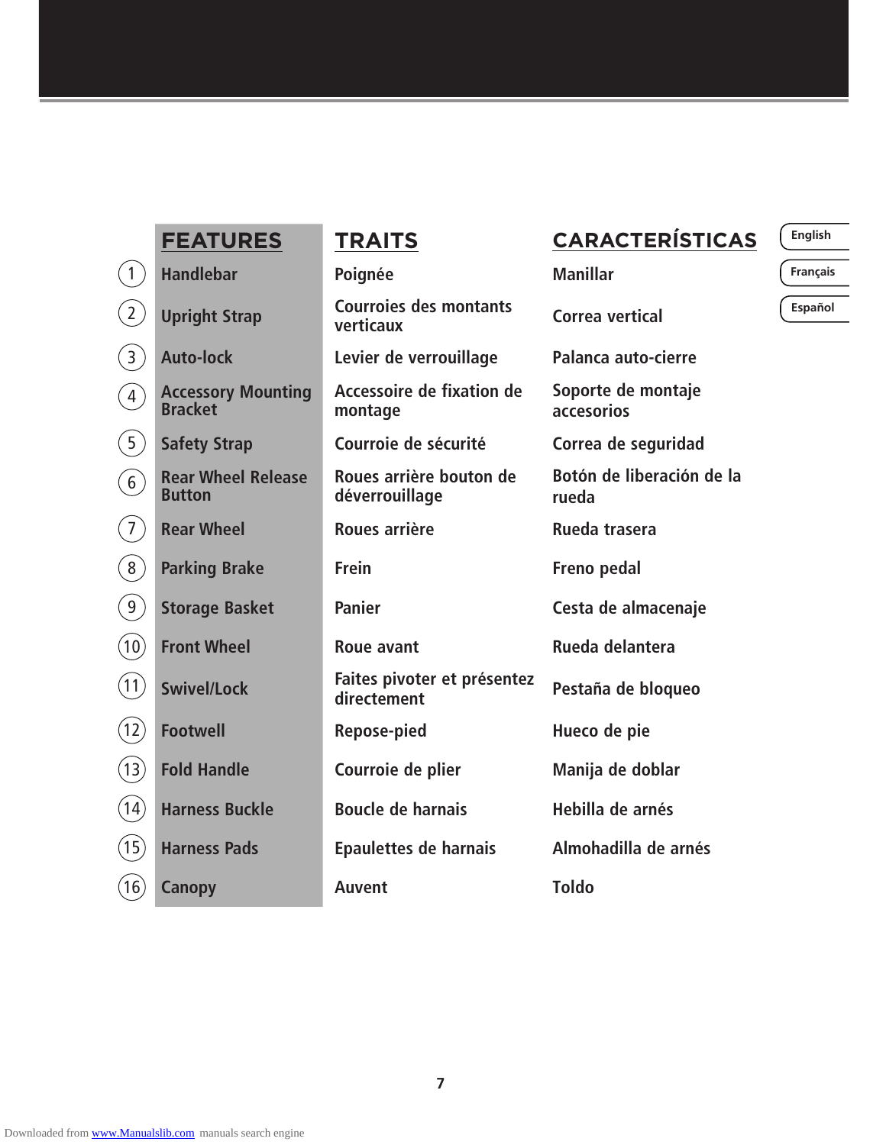|                                                        | <b>FEATURES</b>                             | <b>TRAITS</b>                              | <b>CARACTERÍSTICAS</b>             | English  |
|--------------------------------------------------------|---------------------------------------------|--------------------------------------------|------------------------------------|----------|
| $\left(1\right)$                                       | <b>Handlebar</b>                            | Poignée                                    | <b>Manillar</b>                    | Français |
| $\left( 2\right)$                                      | <b>Upright Strap</b>                        | <b>Courroies des montants</b><br>verticaux | Correa vertical                    | Español  |
| $\binom{3}{ }$                                         | <b>Auto-lock</b>                            | Levier de verrouillage                     | Palanca auto-cierre                |          |
| $\left(\begin{matrix} \widehat{4} \end{matrix}\right)$ | <b>Accessory Mounting</b><br><b>Bracket</b> | Accessoire de fixation de<br>montage       | Soporte de montaje<br>accesorios   |          |
| (5)                                                    | <b>Safety Strap</b>                         | Courroie de sécurité                       | Correa de seguridad                |          |
| $\left( 6\right)$                                      | <b>Rear Wheel Release</b><br><b>Button</b>  | Roues arrière bouton de<br>déverrouillage  | Botón de liberación de la<br>rueda |          |
| $\left(7\right)$                                       | <b>Rear Wheel</b>                           | Roues arrière                              | Rueda trasera                      |          |
| $\left(8\right)$                                       | <b>Parking Brake</b>                        | <b>Frein</b>                               | Freno pedal                        |          |
| (9)                                                    | <b>Storage Basket</b>                       | <b>Panier</b>                              | Cesta de almacenaje                |          |
| (10)                                                   | <b>Front Wheel</b>                          | <b>Roue avant</b>                          | Rueda delantera                    |          |
| (11)                                                   | <b>Swivel/Lock</b>                          | Faites pivoter et présentez<br>directement | Pestaña de bloqueo                 |          |
| (12)                                                   | <b>Footwell</b>                             | Repose-pied                                | Hueco de pie                       |          |
| (13)                                                   | <b>Fold Handle</b>                          | Courroie de plier                          | Manija de doblar                   |          |
| (14)                                                   | <b>Harness Buckle</b>                       | <b>Boucle de harnais</b>                   | Hebilla de arnés                   |          |
| (15)                                                   | <b>Harness Pads</b>                         | <b>Epaulettes de harnais</b>               | Almohadilla de arnés               |          |
| (16)                                                   | <b>Canopy</b>                               | <b>Auvent</b>                              | <b>Toldo</b>                       |          |

**Français**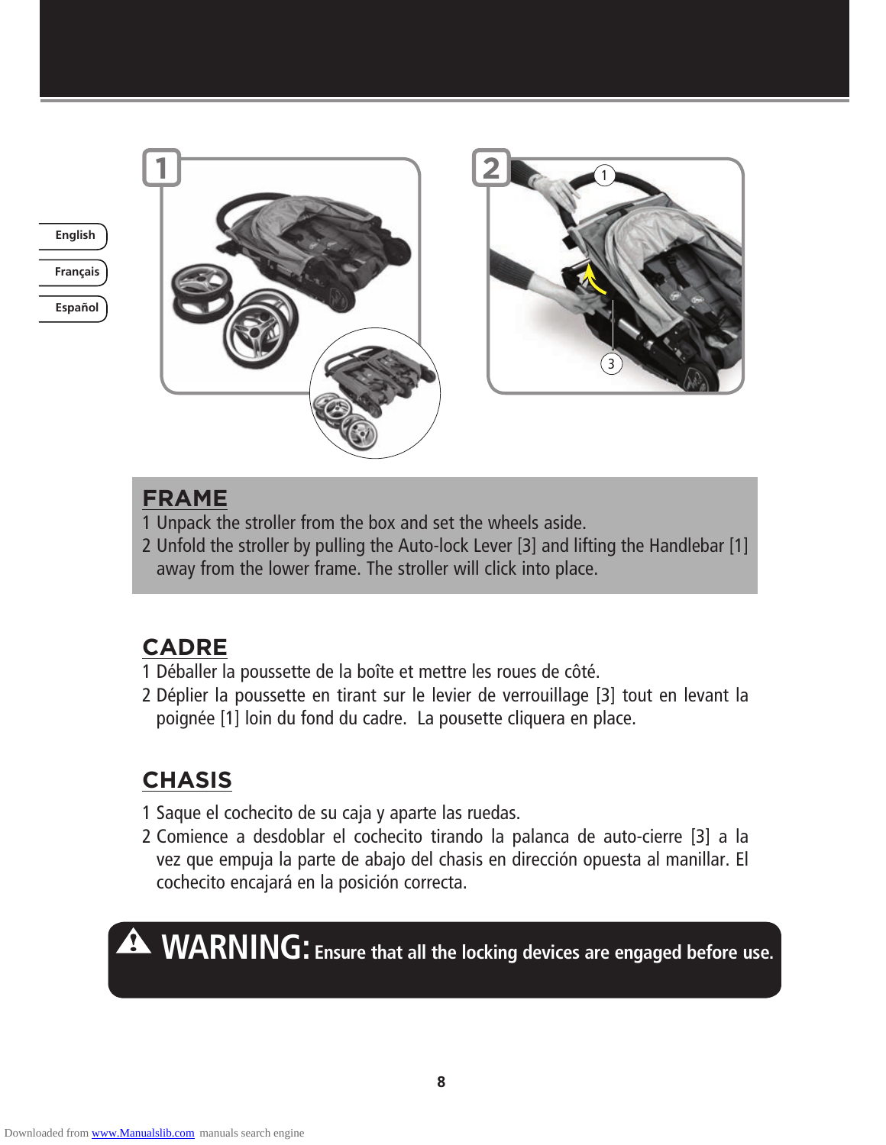

**Español**





# **FRAME**

- 1 Unpack the stroller from the box and set the wheels aside.
- 2 Unfold the stroller by pulling the Auto-lock Lever [3] and lifting the Handlebar [1] away from the lower frame. The stroller will click into place.

# **CADRE**

- 1 Déballer la poussette de la boîte et mettre les roues de côté.
- 2 Déplier la poussette en tirant sur le levier de verrouillage [3] tout en levant la poignée [1] loin du fond du cadre. La pousette cliquera en place.

# **CHASIS**

- 1 Saque el cochecito de su caja y aparte las ruedas.
- 2 Comience a desdoblar el cochecito tirando la palanca de auto-cierre [3] a la vez que empuja la parte de abajo del chasis en dirección opuesta al manillar. El cochecito encajará en la posición correcta.

**WARNING:** Ensure that all the locking devices are engaged before use.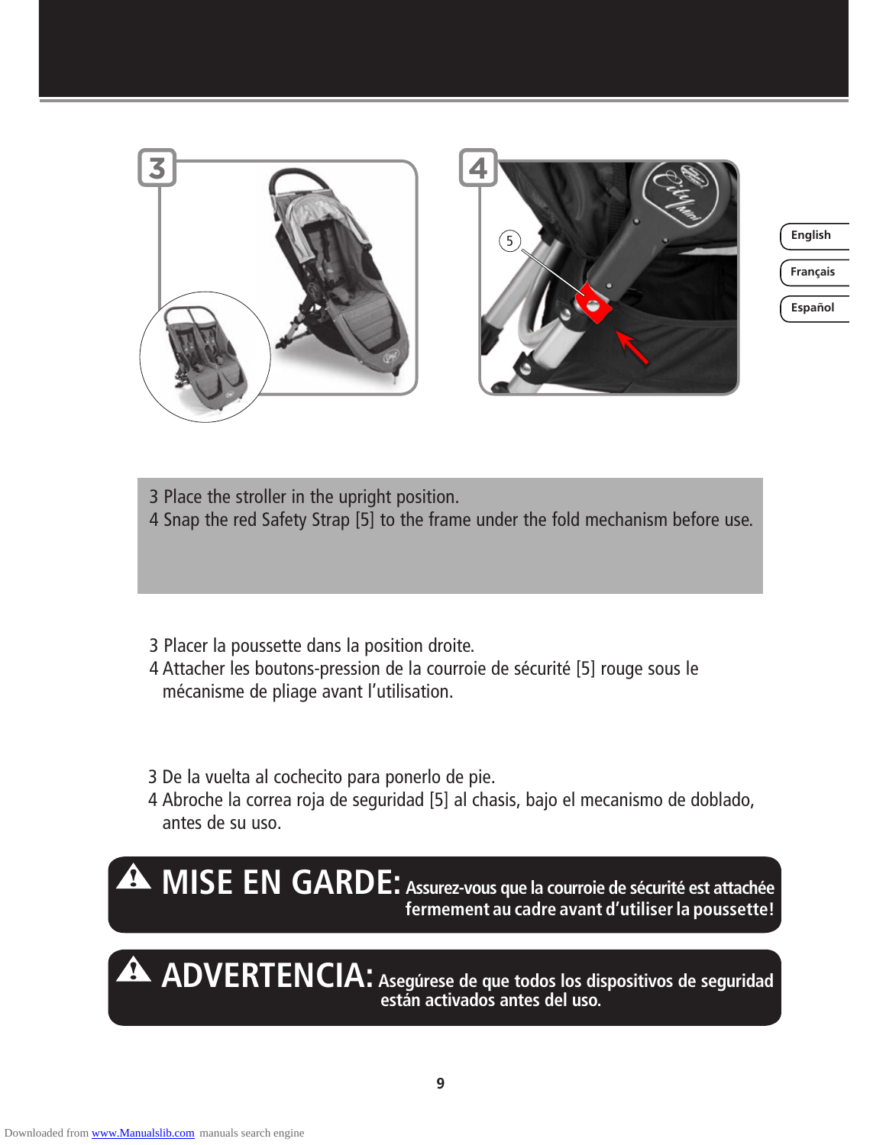

**Français English**

**Español**

3 Place the stroller in the upright position. 4 Snap the red Safety Strap [5] to the frame under the fold mechanism before use.

- 3 Placer la poussette dans la position droite.
- 4 Attacher les boutons-pression de la courroie de sécurité [5] rouge sous le mécanisme de pliage avant l'utilisation.
- 3 De la vuelta al cochecito para ponerlo de pie.
- 4 Abroche la correa roja de seguridad [5] al chasis, bajo el mecanismo de doblado, antes de su uso.



**ADVERTENCIA: Asegúrese de que todos los dispositivos de seguridad están activados antes del uso.**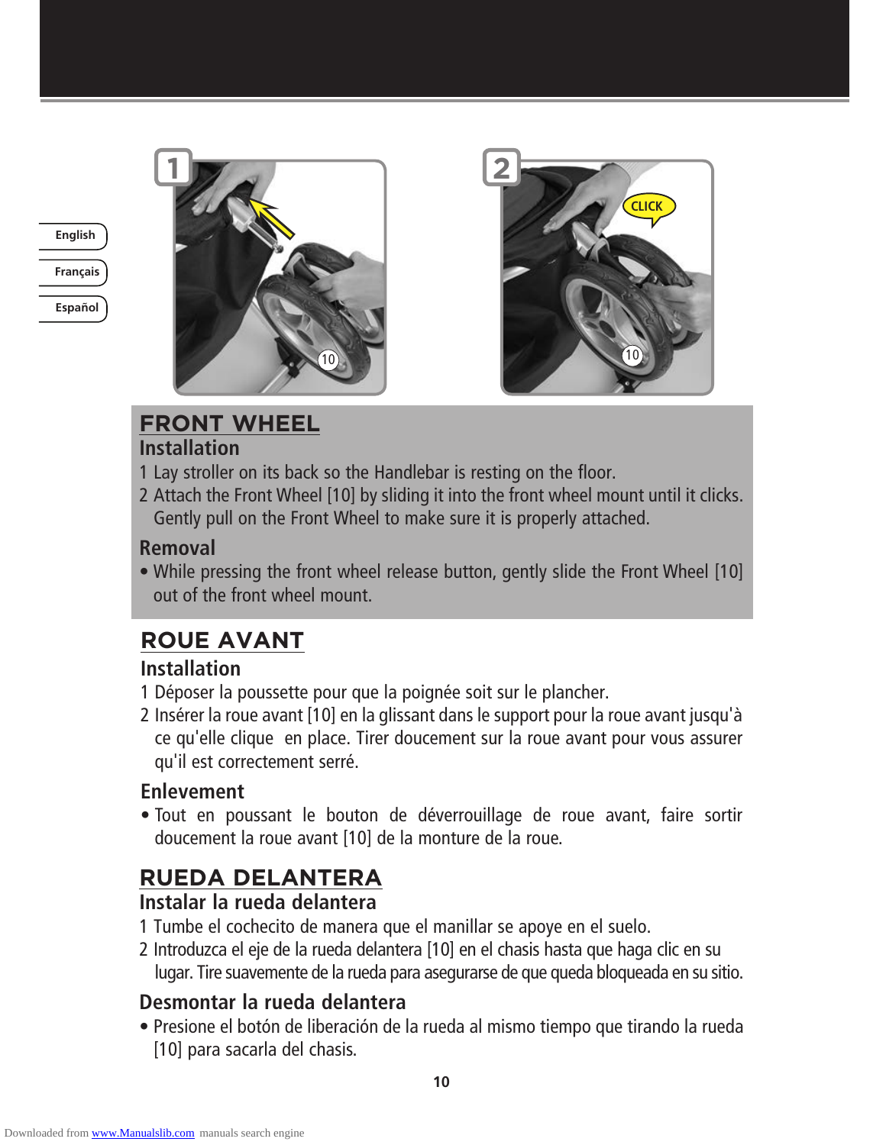

**Français**

**Español**





# **FRONT WHEEL**

#### **Installation**

- 1 Lay stroller on its back so the Handlebar is resting on the floor.
- 2 Attach the Front Wheel [10] by sliding it into the front wheel mount until it clicks. Gently pull on the Front Wheel to make sure it is properly attached.

### **Removal**

• While pressing the front wheel release button, gently slide the Front Wheel [10] out of the front wheel mount.

# **ROUE AVANT**

# **Installation**

- 1 Déposer la poussette pour que la poignée soit sur le plancher.
- 2 Insérer la roue avant [10] en la glissant dans le support pour la roue avant jusqu'à ce qu'elle clique en place. Tirer doucement sur la roue avant pour vous assurer qu'il est correctement serré.

# **Enlevement**

• Tout en poussant le bouton de déverrouillage de roue avant, faire sortir doucement la roue avant [10] de la monture de la roue.

# **RUEDA DELANTERA**

# **Instalar la rueda delantera**

- 1 Tumbe el cochecito de manera que el manillar se apoye en el suelo.
- 2 Introduzca el eje de la rueda delantera [10] en el chasis hasta que haga clic en su lugar. Tire suavemente de la rueda para asegurarse de que queda bloqueada en su sitio.

# **Desmontar la rueda delantera**

• Presione el botón de liberación de la rueda al mismo tiempo que tirando la rueda [10] para sacarla del chasis.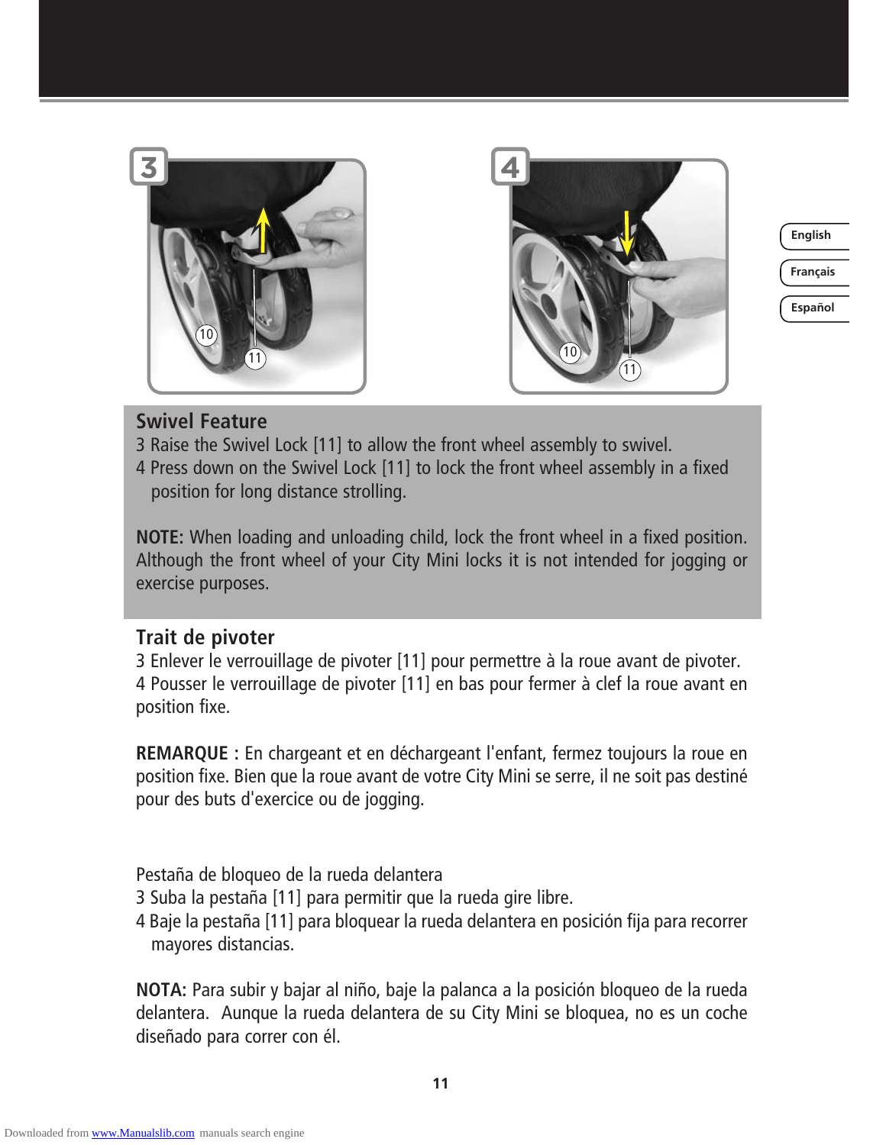



**Français**

**Español**

#### **Swivel Feature**

- 3 Raise the Swivel Lock [11] to allow the front wheel assembly to swivel.
- 4 Press down on the Swivel Lock [11] to lock the front wheel assembly in a fixed position for long distance strolling.

**NOTE:** When loading and unloading child, lock the front wheel in a fixed position. Although the front wheel of your City Mini locks it is not intended for jogging or exercise purposes.

#### **Trait de pivoter**

3 Enlever le verrouillage de pivoter [11] pour permettre à la roue avant de pivoter. 4 Pousser le verrouillage de pivoter [11] en bas pour fermer à clef la roue avant en position fixe.

**REMARQUE :** En chargeant et en déchargeant l'enfant, fermez toujours la roue en position fixe. Bien que la roue avant de votre City Mini se serre, il ne soit pas destiné pour des buts d'exercice ou de jogging.

Pestaña de bloqueo de la rueda delantera

- 3 Suba la pestaña [11] para permitir que la rueda gire libre.
- 4 Baje la pestaña [11] para bloquear la rueda delantera en posición fija para recorrer mayores distancias.

**NOTA:** Para subir y bajar al niño, baje la palanca a la posición bloqueo de la rueda delantera. Aunque la rueda delantera de su City Mini se bloquea, no es un coche diseñado para correr con él.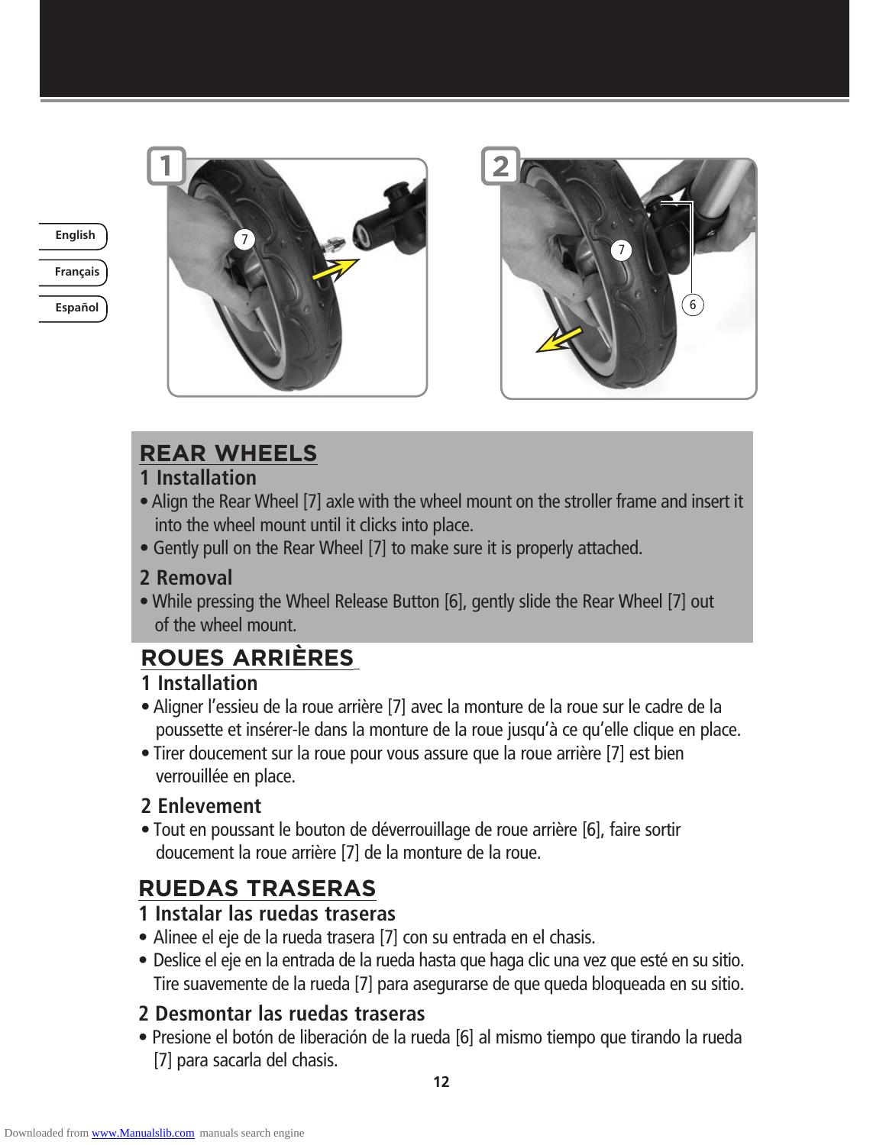

# **Français**

**English** 7

**Español**

# **REAR WHEELS**

#### **1 Installation**

- Align the Rear Wheel [7] axle with the wheel mount on the stroller frame and insert it into the wheel mount until it clicks into place.
- Gently pull on the Rear Wheel [7] to make sure it is properly attached.

### **2 Removal**

• While pressing the Wheel Release Button [6], gently slide the Rear Wheel [7] out of the wheel mount.

# **ROUES ARRIÈRES**

#### **1 Installation**

- Aligner l'essieu de la roue arrière [7] avec la monture de la roue sur le cadre de la poussette et insérer-le dans la monture de la roue jusqu'à ce qu'elle clique en place.
- Tirer doucement sur la roue pour vous assure que la roue arrière [7] est bien verrouillée en place.

### **2 Enlevement**

• Tout en poussant le bouton de déverrouillage de roue arrière [6], faire sortir doucement la roue arrière [7] de la monture de la roue.

# **RUEDAS TRASERAS**

### **1 Instalar las ruedas traseras**

- Alinee el eje de la rueda trasera [7] con su entrada en el chasis.
- Deslice el eje en la entrada de la rueda hasta que haga clic una vez que esté en su sitio. Tire suavemente de la rueda [7] para asegurarse de que queda bloqueada en su sitio.

# **2 Desmontar las ruedas traseras**

• Presione el botón de liberación de la rueda [6] al mismo tiempo que tirando la rueda [7] para sacarla del chasis.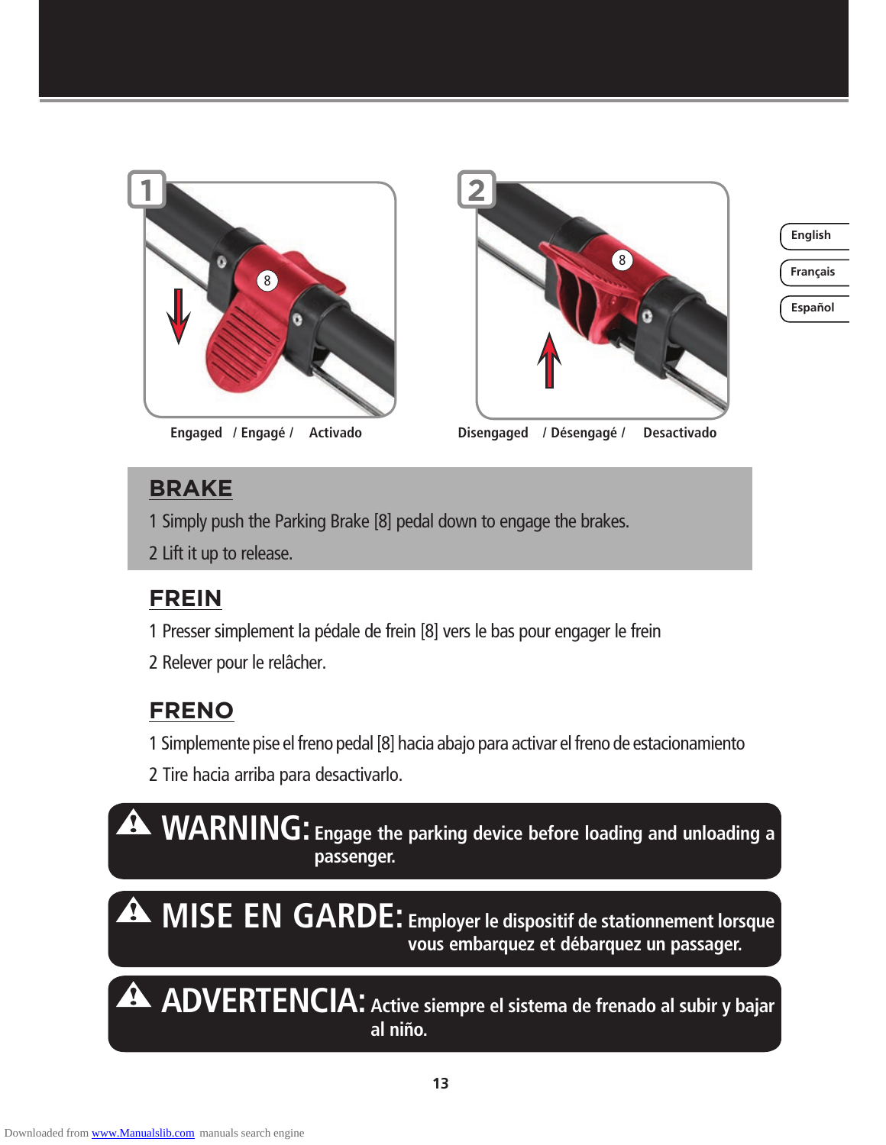

**Engaged** / Engagé / Activado



**English**

**Français**

**Español**

 **/ Engagé / Activado / Désengagé / Desactivado**

# **BRAKE**

1 Simply push the Parking Brake [8] pedal down to engage the brakes.

2 Lift it up to release.

# **FREIN**

1 Presser simplement la pédale de frein [8] vers le bas pour engager le frein

2 Relever pour le relâcher.

# **FRENO**

1 Simplemente pise el freno pedal [8] hacia abajo para activar el freno de estacionamiento

2 Tire hacia arriba para desactivarlo.

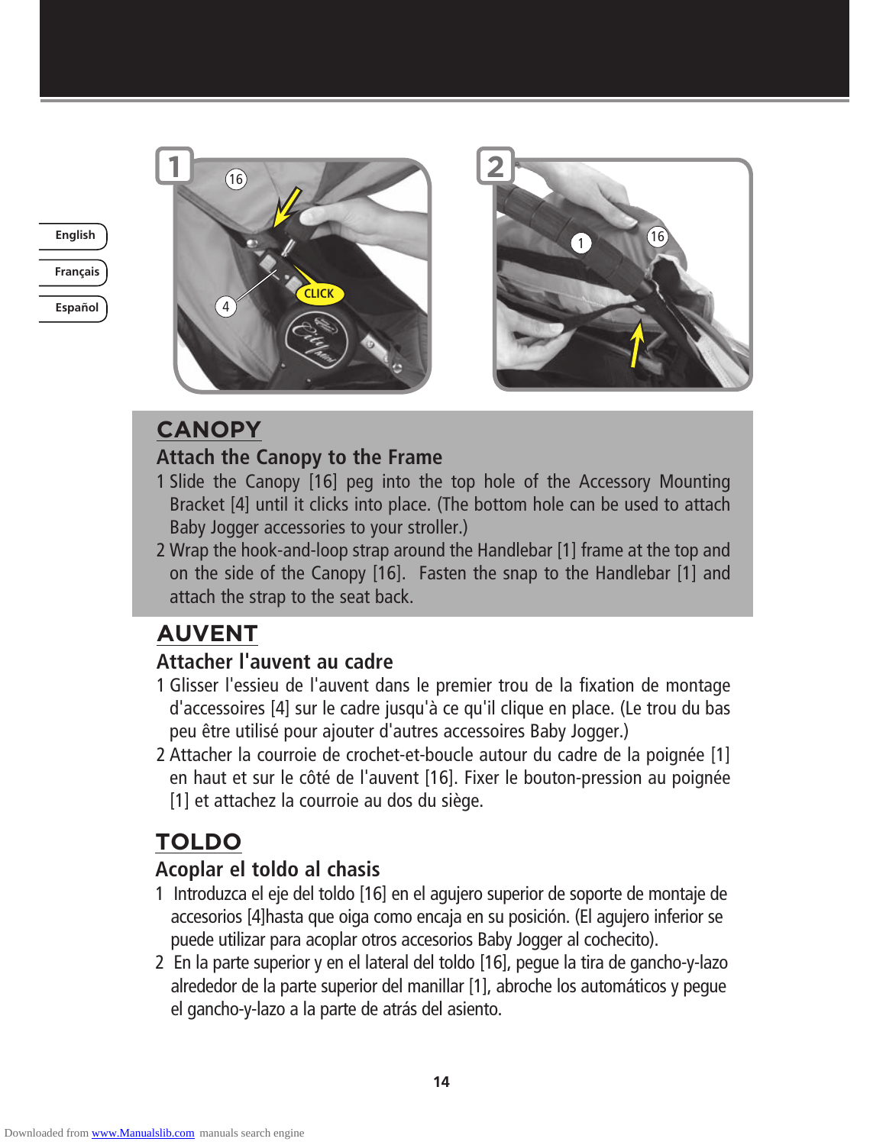

**Español**





# **CANOPY**

### **Attach the Canopy to the Frame**

- 1 Slide the Canopy [16] peg into the top hole of the Accessory Mounting Bracket [4] until it clicks into place. (The bottom hole can be used to attach Baby Jogger accessories to your stroller.)
- 2 Wrap the hook-and-loop strap around the Handlebar [1] frame at the top and on the side of the Canopy [16]. Fasten the snap to the Handlebar [1] and attach the strap to the seat back.

# **AUVENT**

# **Attacher l'auvent au cadre**

- 1 Glisser l'essieu de l'auvent dans le premier trou de la fixation de montage d'accessoires [4] sur le cadre jusqu'à ce qu'il clique en place. (Le trou du bas peu être utilisé pour ajouter d'autres accessoires Baby Jogger.)
- 2 Attacher la courroie de crochet-et-boucle autour du cadre de la poignée [1] en haut et sur le côté de l'auvent [16]. Fixer le bouton-pression au poignée [1] et attachez la courroie au dos du siège.

# **TOLDO**

# **Acoplar el toldo al chasis**

- 1 Introduzca el eje del toldo [16] en el agujero superior de soporte de montaje de accesorios [4]hasta que oiga como encaja en su posición. (El agujero inferior se puede utilizar para acoplar otros accesorios Baby Jogger al cochecito).
- 2 En la parte superior y en el lateral del toldo [16], pegue la tira de gancho-y-lazo alrededor de la parte superior del manillar [1], abroche los automáticos y pegue el gancho-y-lazo a la parte de atrás del asiento.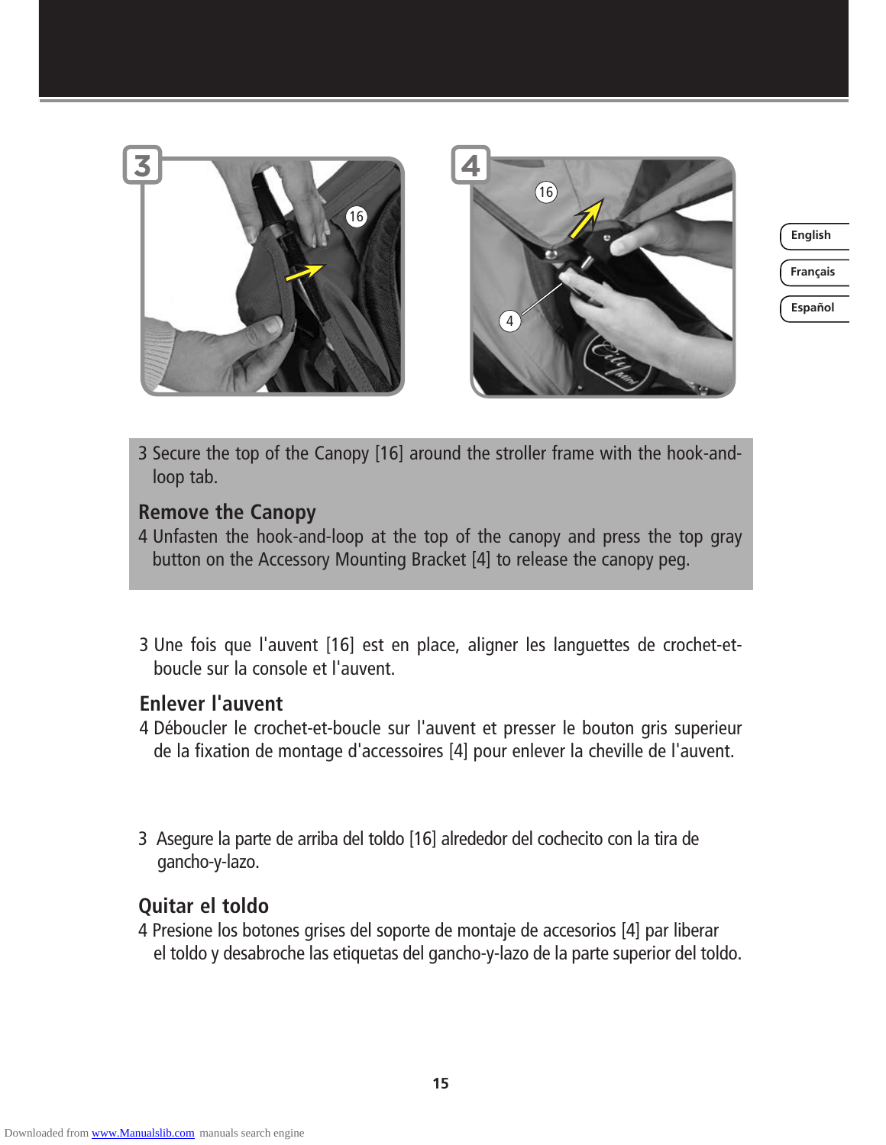

**Français**

**Español**

3 Secure the top of the Canopy [16] around the stroller frame with the hook-andloop tab.

#### **Remove the Canopy**

- 4 Unfasten the hook-and-loop at the top of the canopy and press the top gray button on the Accessory Mounting Bracket [4] to release the canopy peg.
- 3 Une fois que l'auvent [16] est en place, aligner les languettes de crochet-etboucle sur la console et l'auvent.

#### **Enlever l'auvent**

- 4 Déboucler le crochet-et-boucle sur l'auvent et presser le bouton gris superieur de la fixation de montage d'accessoires [4] pour enlever la cheville de l'auvent.
- 3 Asegure la parte de arriba del toldo [16] alrededor del cochecito con la tira de gancho-y-lazo.

#### **Quitar el toldo**

4 Presione los botones grises del soporte de montaje de accesorios [4] par liberar el toldo y desabroche las etiquetas del gancho-y-lazo de la parte superior del toldo.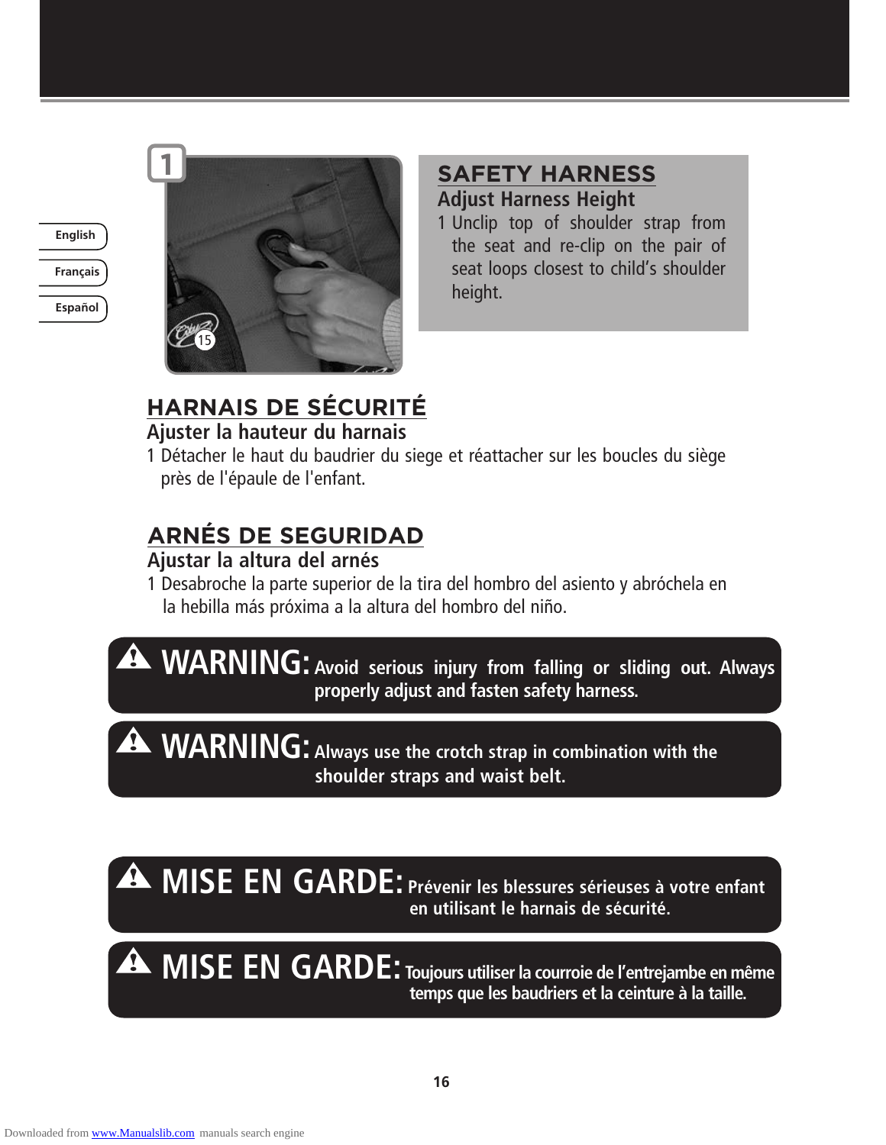

**Français**

**Español**



## **SAFETY HARNESS Adjust Harness Height**

1 Unclip top of shoulder strap from the seat and re-clip on the pair of seat loops closest to child's shoulder height.

# **HARNAIS DE SÉCURITÉ**

### **Ajuster la hauteur du harnais**

1 Détacher le haut du baudrier du siege et réattacher sur les boucles du siège près de l'épaule de l'enfant.

# **ARNÉS DE SEGURIDAD**

### **Ajustar la altura del arnés**

- 1 Desabroche la parte superior de la tira del hombro del asiento y abróchela en la hebilla más próxima a la altura del hombro del niño.
- **WARNING: Avoid serious injury from falling or sliding out. Always properly adjust and fasten safety harness.**

**WARNING:** Always use the crotch strap in combination with the  **shoulder straps and waist belt.**

# **MISE EN GARDE: Prévenir les blessures sérieuses à votre enfant en utilisant le harnais de sécurité.**

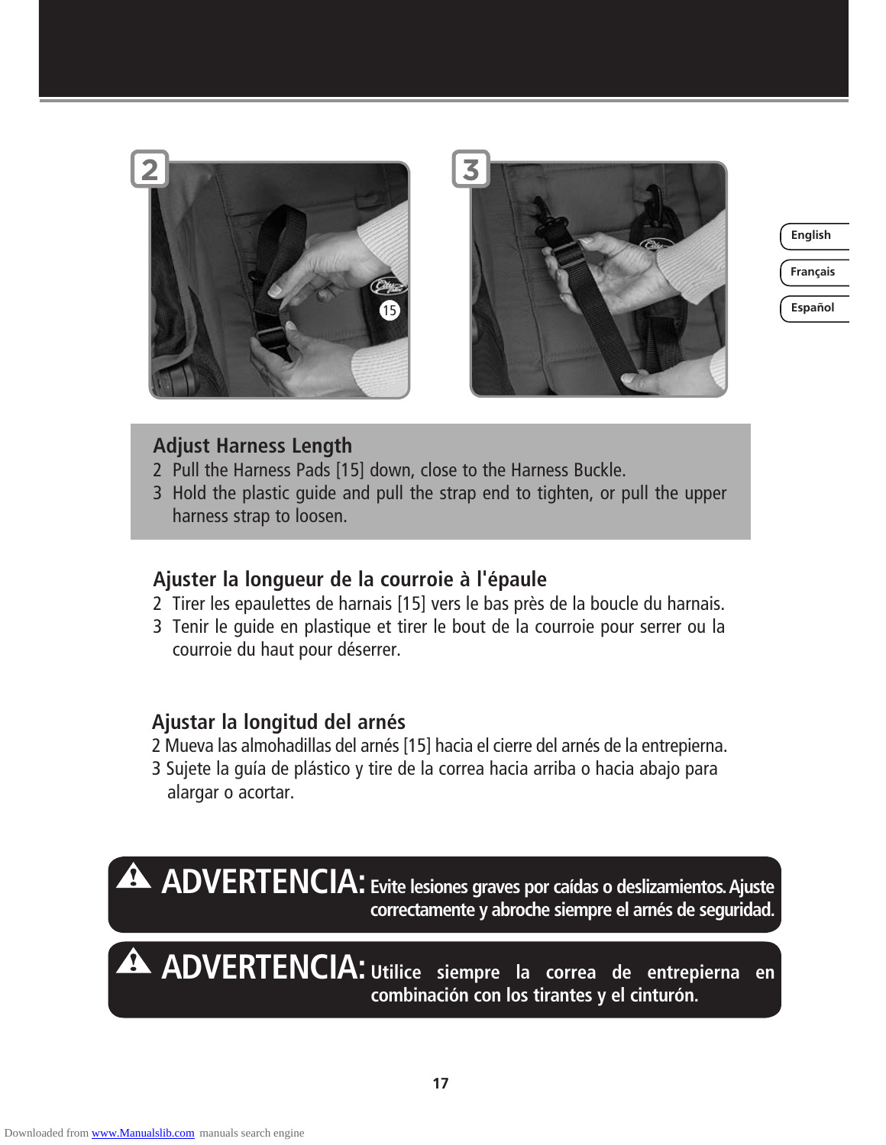

**Français**

**Español**

#### **Adjust Harness Length**

- 2 Pull the Harness Pads [15] down, close to the Harness Buckle.
- 3 Hold the plastic guide and pull the strap end to tighten, or pull the upper harness strap to loosen.

#### **Ajuster la longueur de la courroie à l'épaule**

- 2 Tirer les epaulettes de harnais [15] vers le bas près de la boucle du harnais.
- 3 Tenir le guide en plastique et tirer le bout de la courroie pour serrer ou la courroie du haut pour déserrer.

#### **Ajustar la longitud del arnés**

- 2 Mueva las almohadillas del arnés [15] hacia el cierre del arnés de la entrepierna.
- 3 Sujete la guía de plástico y tire de la correa hacia arriba o hacia abajo para alargar o acortar.

**ADVERTENCIA: Evite lesiones graves por caídas o deslizamientos. Ajuste correctamente y abroche siempre el arnés de seguridad.**

**ADVERTENCIA: Utilice siempre la correa de entrepierna en combinación con los tirantes y el cinturón.**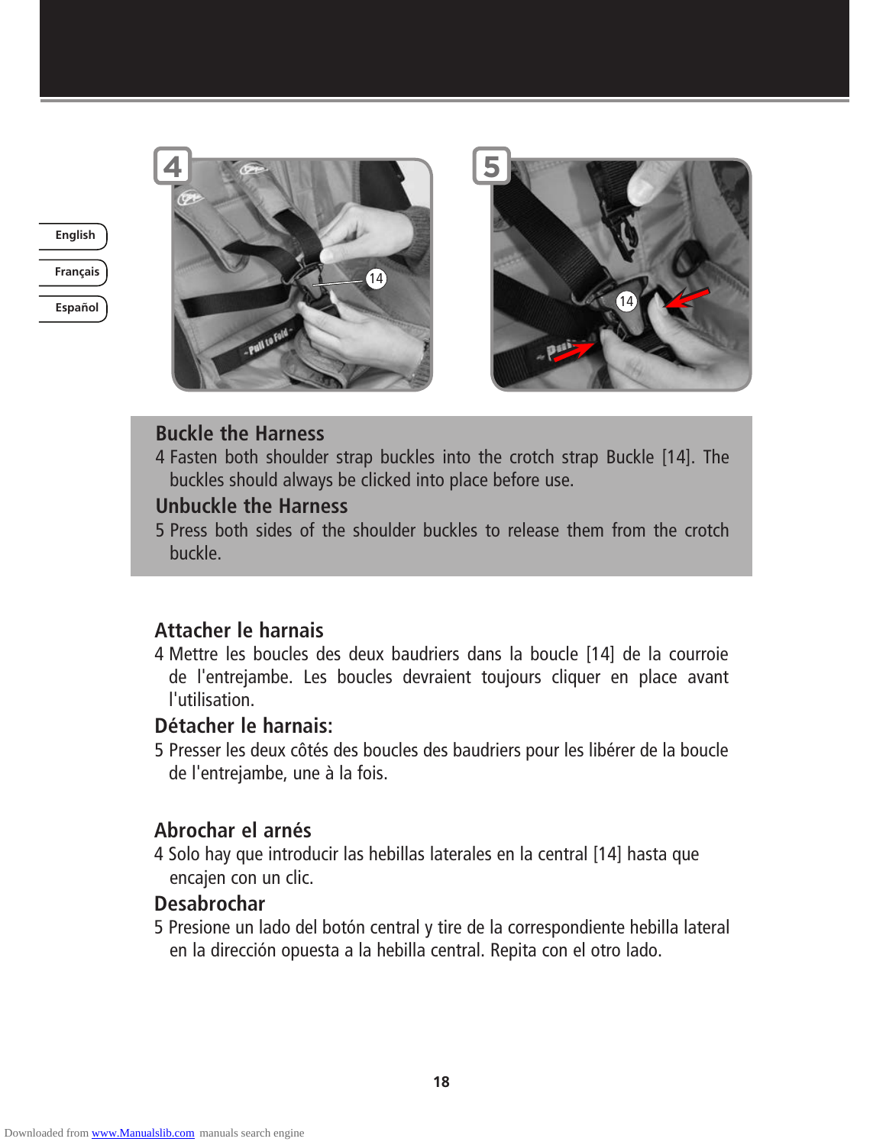

**Español**





#### **Buckle the Harness**

4 Fasten both shoulder strap buckles into the crotch strap Buckle [14]. The buckles should always be clicked into place before use.

#### **Unbuckle the Harness**

5 Press both sides of the shoulder buckles to release them from the crotch buckle.

#### **Attacher le harnais**

4 Mettre les boucles des deux baudriers dans la boucle [14] de la courroie de l'entrejambe. Les boucles devraient toujours cliquer en place avant l'utilisation.

#### **Détacher le harnais:**

5 Presser les deux côtés des boucles des baudriers pour les libérer de la boucle de l'entrejambe, une à la fois.

#### **Abrochar el arnés**

4 Solo hay que introducir las hebillas laterales en la central [14] hasta que encajen con un clic.

#### **Desabrochar**

5 Presione un lado del botón central y tire de la correspondiente hebilla lateral en la dirección opuesta a la hebilla central. Repita con el otro lado.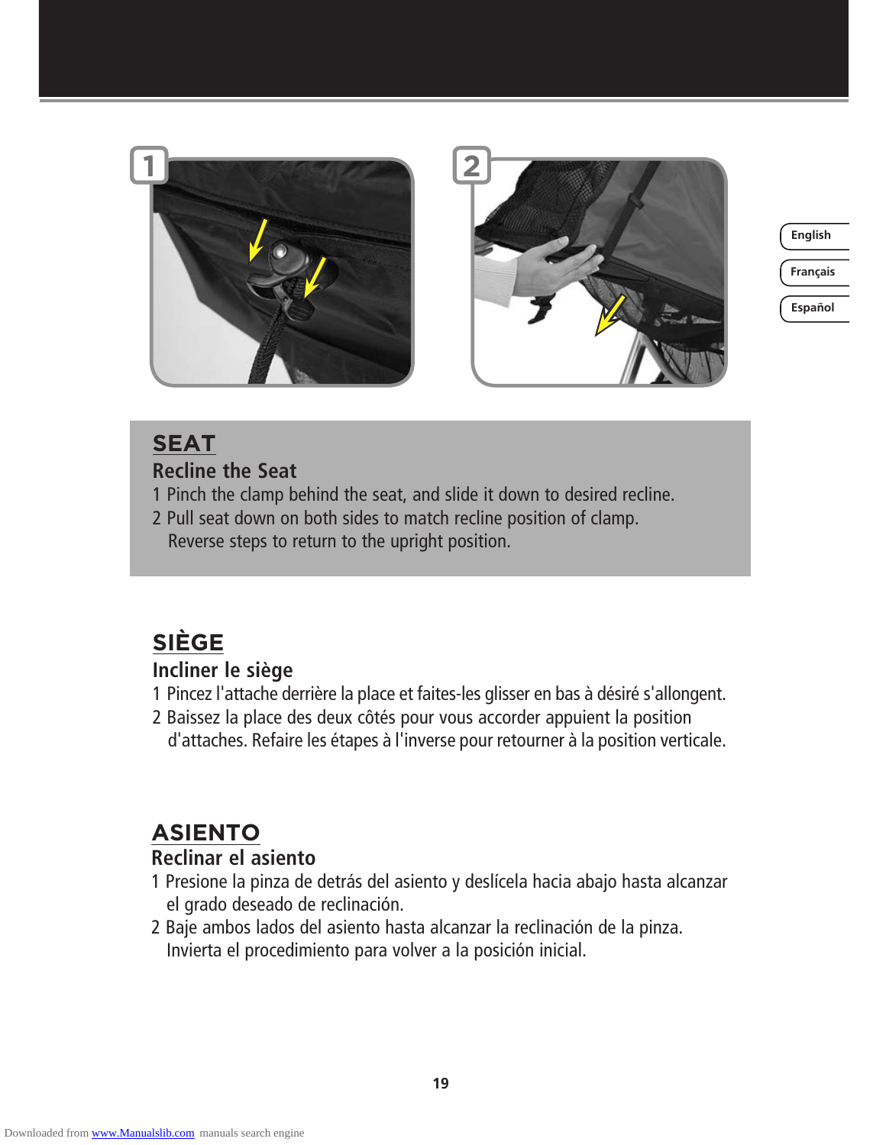



**Français**

**Español**

# **SEAT**

#### **Recline the Seat**

- 1 Pinch the clamp behind the seat, and slide it down to desired recline.
- 2 Pull seat down on both sides to match recline position of clamp.
- Reverse steps to return to the upright position.

# **SIÈGE**

### **Incliner le siège**

- 1 Pincez l'attache derrière la place et faites-les glisser en bas à désiré s'allongent.
- 2 Baissez la place des deux côtés pour vous accorder appuient la position d'attaches. Refaire les étapes à l'inverse pour retourner à la position verticale.

# **ASIENTO**

### **Reclinar el asiento**

- 1 Presione la pinza de detrás del asiento y deslícela hacia abajo hasta alcanzar el grado deseado de reclinación.
- 2 Baje ambos lados del asiento hasta alcanzar la reclinación de la pinza. Invierta el procedimiento para volver a la posición inicial.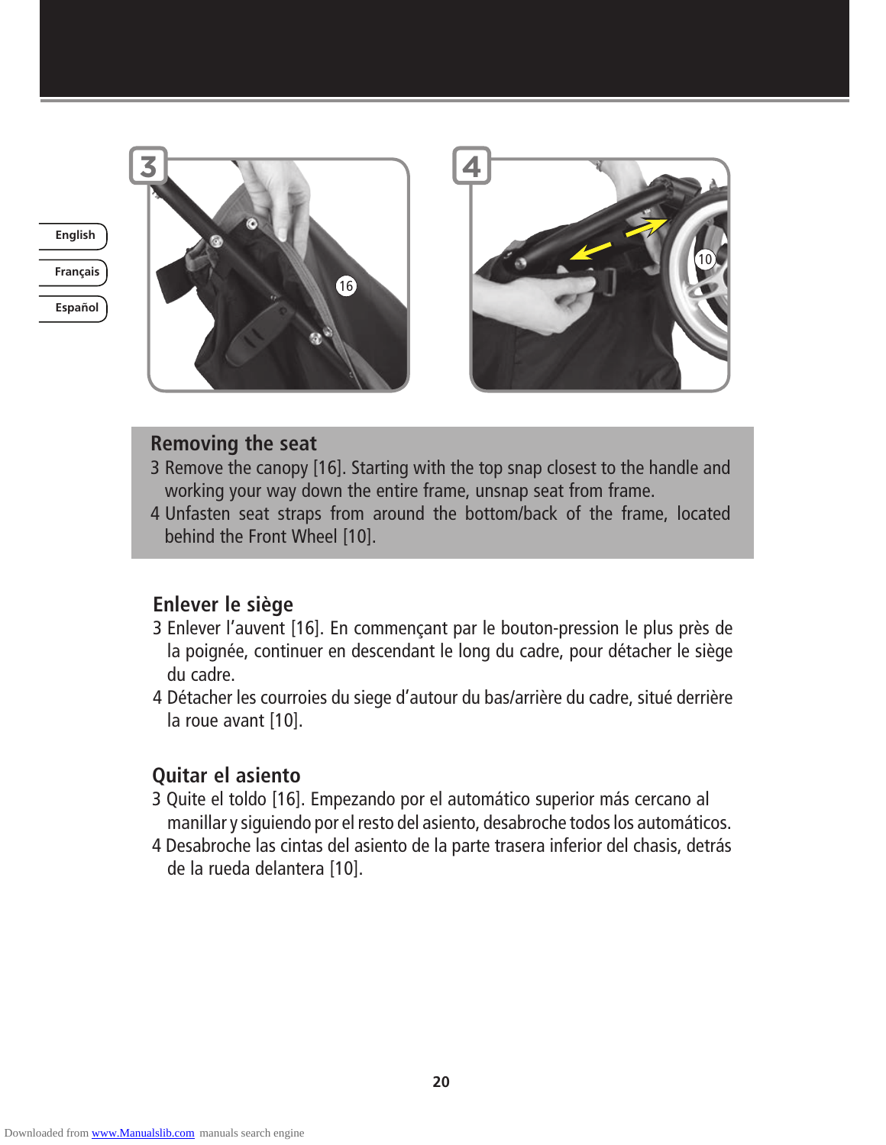

**Español**





#### **Removing the seat**

- 3 Remove the canopy [16]. Starting with the top snap closest to the handle and working your way down the entire frame, unsnap seat from frame.
- 4 Unfasten seat straps from around the bottom/back of the frame, located behind the Front Wheel [10].

#### **Enlever le siège**

- 3 Enlever l'auvent [16]. En commençant par le bouton-pression le plus près de la poignée, continuer en descendant le long du cadre, pour détacher le siège du cadre.
- 4 Détacher les courroies du siege d'autour du bas/arrière du cadre, situé derrière la roue avant [10].

#### **Quitar el asiento**

- 3 Quite el toldo [16]. Empezando por el automático superior más cercano al manillar y siguiendo por el resto del asiento, desabroche todos los automáticos.
- 4 Desabroche las cintas del asiento de la parte trasera inferior del chasis, detrás de la rueda delantera [10].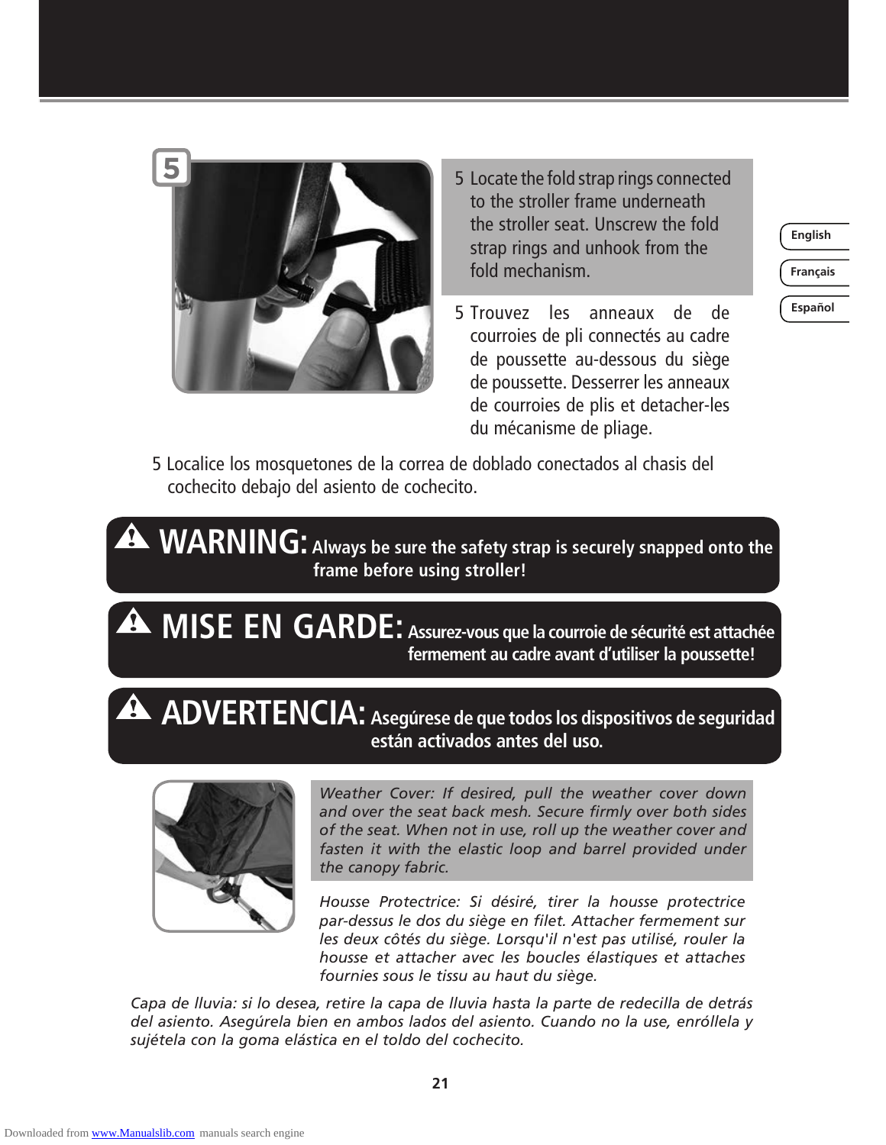

- 5 Locate the fold strap rings connected to the stroller frame underneath the stroller seat. Unscrew the fold strap rings and unhook from the fold mechanism.
- 5 Trouvez les anneaux de de courroies de pli connectés au cadre de poussette au-dessous du siège de poussette. Desserrer les anneaux de courroies de plis et detacher-les du mécanisme de pliage.

**Français**

**Español**

5 Localice los mosquetones de la correa de doblado conectados al chasis del cochecito debajo del asiento de cochecito.

**WARNING:** Always be sure the safety strap is securely snapped onto the  **frame before using stroller!**

**MISE EN GARDE: Assurez-vous que la courroie de sécurité est attachée fermement au cadre avant d'utiliser la poussette!** 

# **ADVERTENCIA: Asegúrese de que todos los dispositivos de seguridad están activados antes del uso.**



*Weather Cover: If desired, pull the weather cover down and over the seat back mesh. Secure firmly over both sides of the seat. When not in use, roll up the weather cover and*  fasten it with the elastic loop and barrel provided under *the canopy fabric.*

*Housse Protectrice: Si désiré, tirer la housse protectrice par-dessus le dos du siège en filet. Attacher fermement sur les deux côtés du siège. Lorsqu'il n'est pas utilisé, rouler la housse et attacher avec les boucles élastiques et attaches fournies sous le tissu au haut du siège.*

*Capa de lluvia: si lo desea, retire la capa de lluvia hasta la parte de redecilla de detrás del asiento. Asegúrela bien en ambos lados del asiento. Cuando no la use, enróllela y sujétela con la goma elástica en el toldo del cochecito.*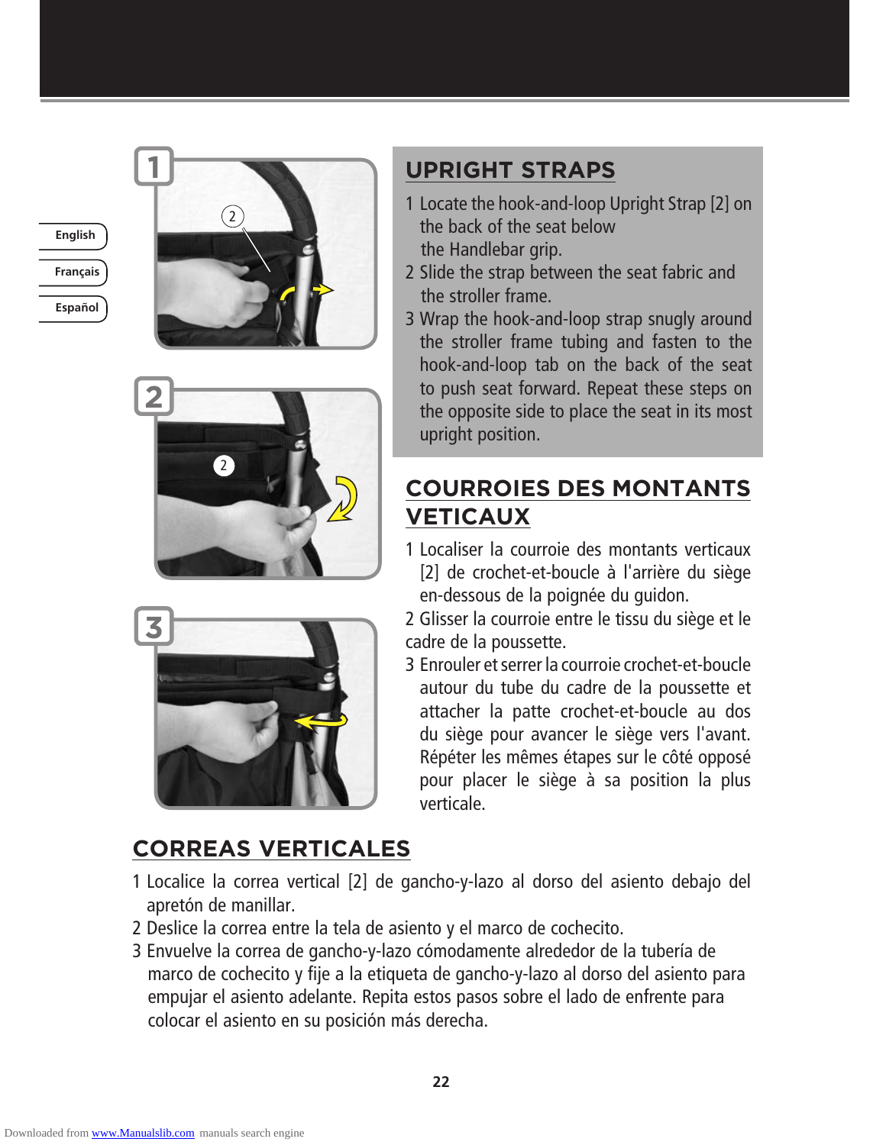







# **CORREAS VERTICALES**

# **UPRIGHT STRAPS**

- 1 Locate the hook-and-loop Upright Strap [2] on the back of the seat below the Handlebar grip.
- 2 Slide the strap between the seat fabric and the stroller frame.
- 3 Wrap the hook-and-loop strap snugly around the stroller frame tubing and fasten to the hook-and-loop tab on the back of the seat to push seat forward. Repeat these steps on the opposite side to place the seat in its most upright position.

# **COURROIES DES MONTANTS VETICAUX**

1 Localiser la courroie des montants verticaux [2] de crochet-et-boucle à l'arrière du siège en-dessous de la poignée du guidon.

2 Glisser la courroie entre le tissu du siège et le cadre de la poussette.

- 3 Enrouler et serrer la courroie crochet-et-boucle autour du tube du cadre de la poussette et attacher la patte crochet-et-boucle au dos du siège pour avancer le siège vers l'avant. Répéter les mêmes étapes sur le côté opposé pour placer le siège à sa position la plus verticale.
- 1 Localice la correa vertical [2] de gancho-y-lazo al dorso del asiento debajo del apretón de manillar.
- 2 Deslice la correa entre la tela de asiento y el marco de cochecito.
- 3 Envuelve la correa de gancho-y-lazo cómodamente alrededor de la tubería de marco de cochecito y fije a la etiqueta de gancho-y-lazo al dorso del asiento para empujar el asiento adelante. Repita estos pasos sobre el lado de enfrente para colocar el asiento en su posición más derecha.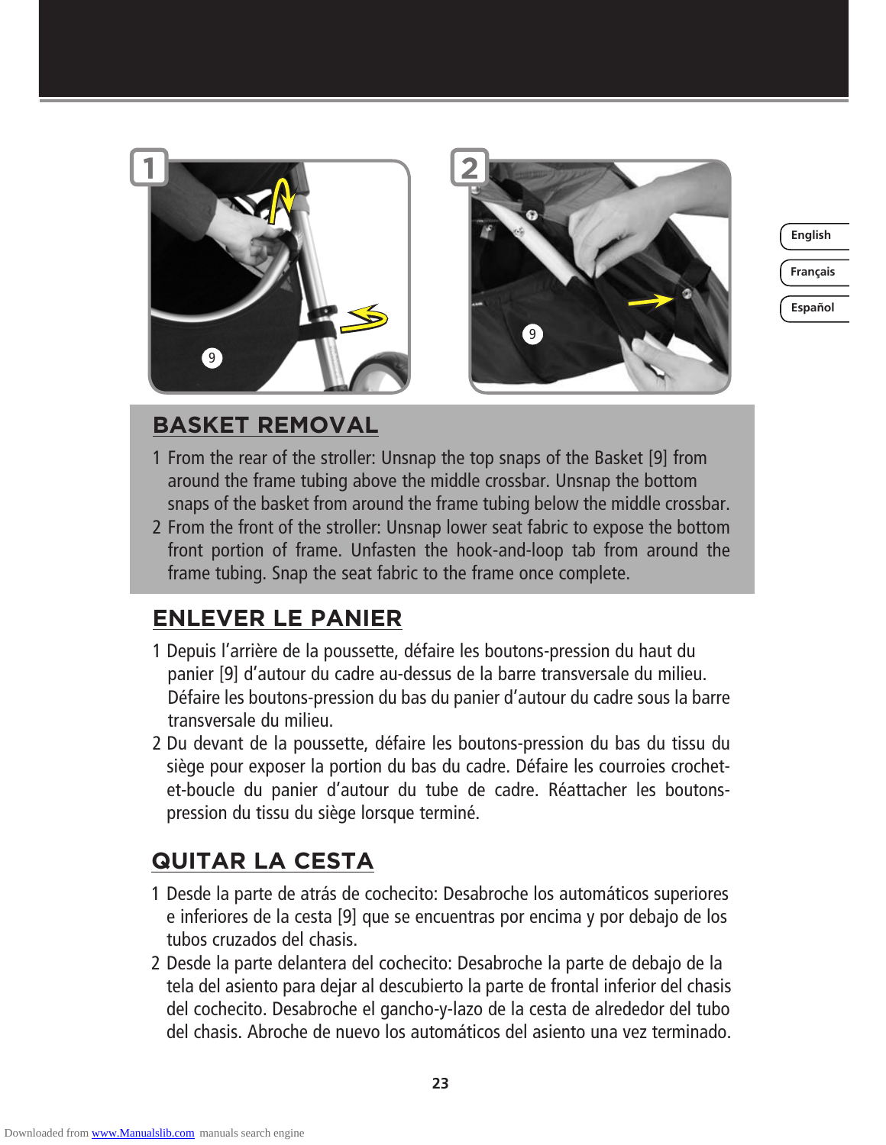



**Français**

**Español**

# **BASKET REMOVAL**

- 1 From the rear of the stroller: Unsnap the top snaps of the Basket [9] from around the frame tubing above the middle crossbar. Unsnap the bottom snaps of the basket from around the frame tubing below the middle crossbar.
- 2 From the front of the stroller: Unsnap lower seat fabric to expose the bottom front portion of frame. Unfasten the hook-and-loop tab from around the frame tubing. Snap the seat fabric to the frame once complete.

# **ENLEVER LE PANIER**

- 1 Depuis l'arrière de la poussette, défaire les boutons-pression du haut du panier [9] d'autour du cadre au-dessus de la barre transversale du milieu. Défaire les boutons-pression du bas du panier d'autour du cadre sous la barre transversale du milieu.
- 2 Du devant de la poussette, défaire les boutons-pression du bas du tissu du siège pour exposer la portion du bas du cadre. Défaire les courroies crochetet-boucle du panier d'autour du tube de cadre. Réattacher les boutonspression du tissu du siège lorsque terminé.

# **QUITAR LA CESTA**

- 1 Desde la parte de atrás de cochecito: Desabroche los automáticos superiores e inferiores de la cesta [9] que se encuentras por encima y por debajo de los tubos cruzados del chasis.
- 2 Desde la parte delantera del cochecito: Desabroche la parte de debajo de la tela del asiento para dejar al descubierto la parte de frontal inferior del chasis del cochecito. Desabroche el gancho-y-lazo de la cesta de alrededor del tubo del chasis. Abroche de nuevo los automáticos del asiento una vez terminado.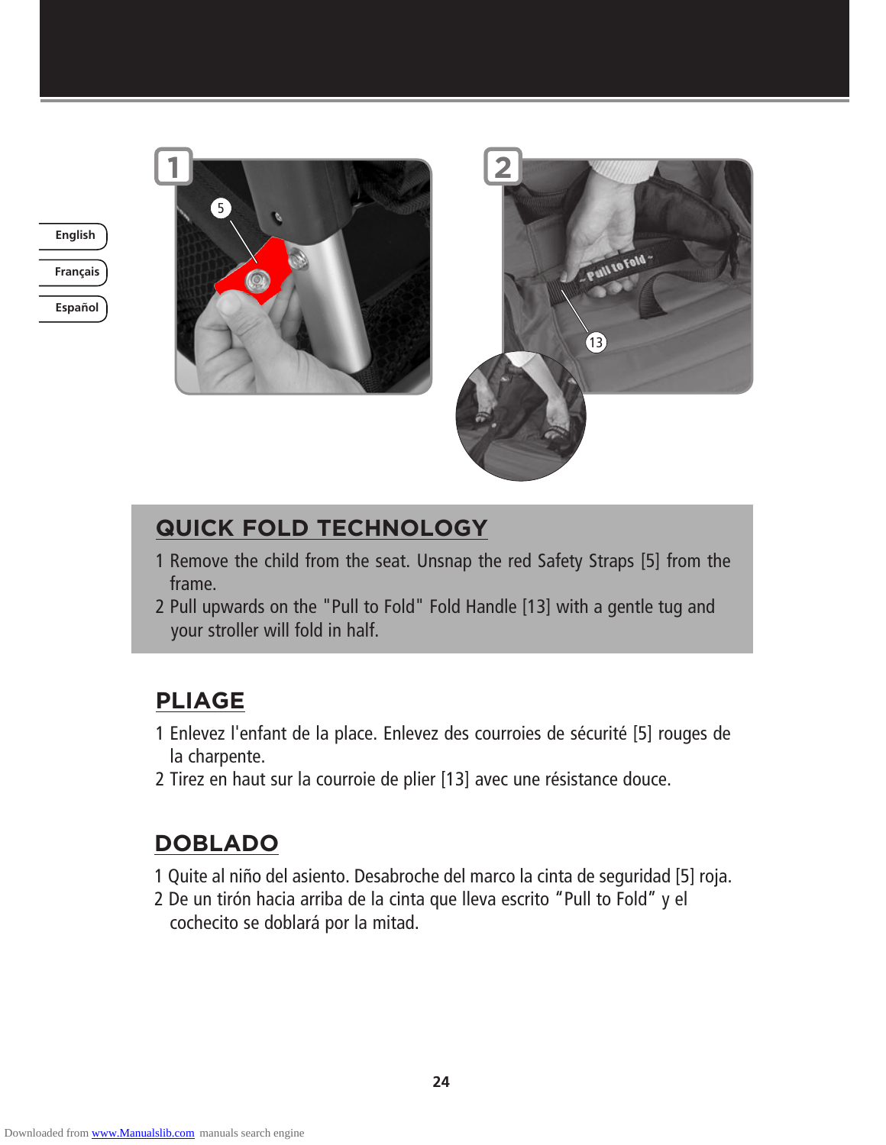**Français English**







# **QUICK FOLD TECHNOLOGY**

- 1 Remove the child from the seat. Unsnap the red Safety Straps [5] from the frame.
- 2 Pull upwards on the "Pull to Fold" Fold Handle [13] with a gentle tug and your stroller will fold in half.

# **PLIAGE**

- 1 Enlevez l'enfant de la place. Enlevez des courroies de sécurité [5] rouges de la charpente.
- 2 Tirez en haut sur la courroie de plier [13] avec une résistance douce.

# **DOBLADO**

- 1 Quite al niño del asiento. Desabroche del marco la cinta de seguridad [5] roja.
- 2 De un tirón hacia arriba de la cinta que lleva escrito "Pull to Fold" y el cochecito se doblará por la mitad.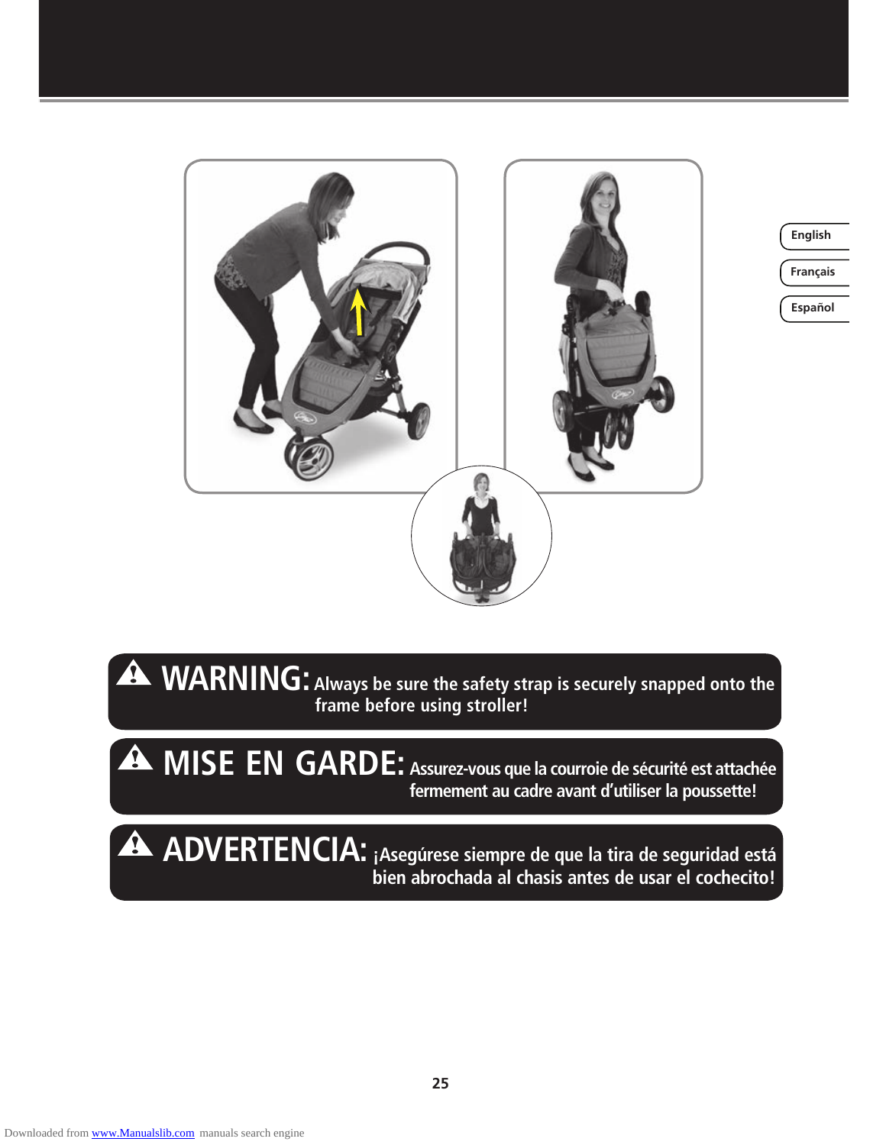

**Français**

**Español**

 $\blacktriangle$ **WARNING: Always be sure the safety strap is securely snapped onto the**  *<b>frame before using stroller!* **frame before using stroller!** 

**MISE EN GARDE: Assurez-vous que la courroie de sécurité est attachée fermement au cadre avant d'utiliser la poussette!** 

**ADVERTENCIA: ¡Asegúrese siempre de que la tira de seguridad está bien abrochada al chasis antes de usar el cochecito!**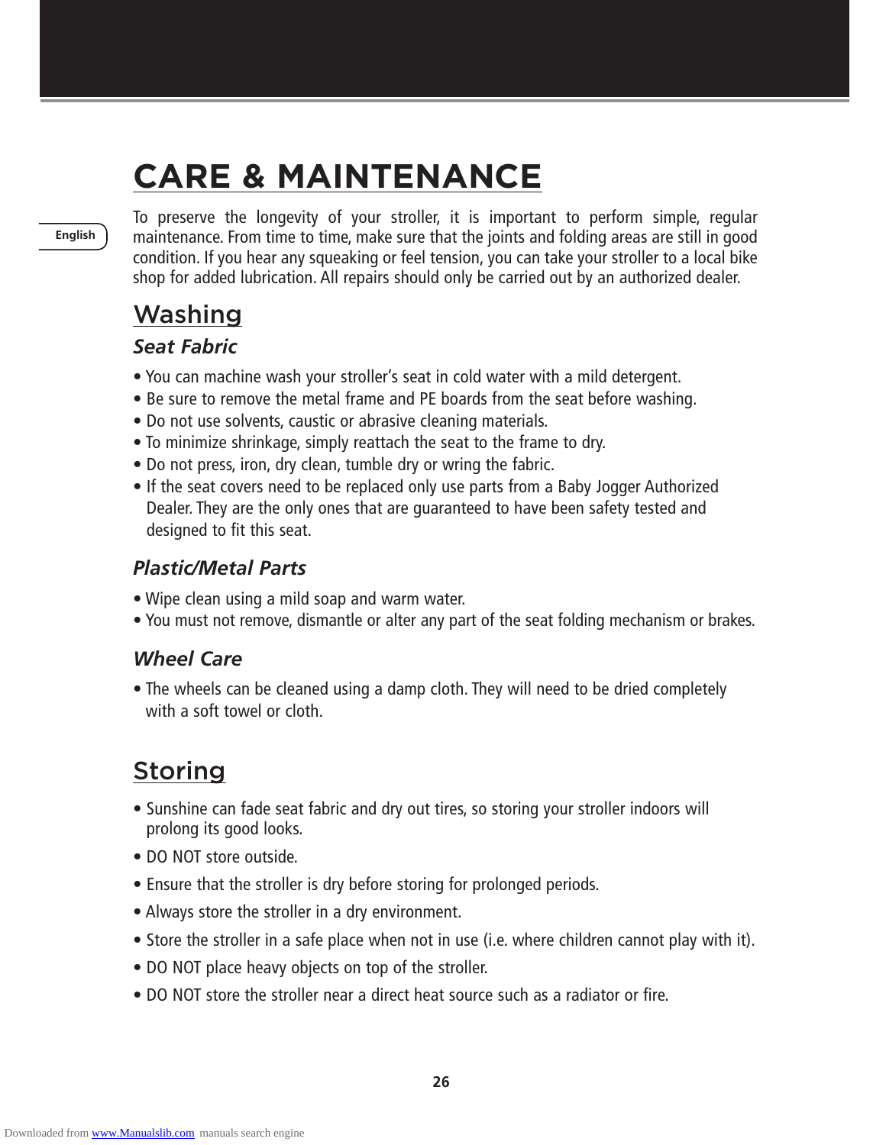# **CARE & MAINTENANCE**

**English**

To preserve the longevity of your stroller, it is important to perform simple, regular maintenance. From time to time, make sure that the joints and folding areas are still in good condition. If you hear any squeaking or feel tension, you can take your stroller to a local bike shop for added lubrication. All repairs should only be carried out by an authorized dealer.

# Washing

#### *Seat Fabric*

- You can machine wash your stroller's seat in cold water with a mild detergent.
- Be sure to remove the metal frame and PE boards from the seat before washing.
- Do not use solvents, caustic or abrasive cleaning materials.
- To minimize shrinkage, simply reattach the seat to the frame to dry.
- Do not press, iron, dry clean, tumble dry or wring the fabric.
- If the seat covers need to be replaced only use parts from a Baby Jogger Authorized Dealer. They are the only ones that are guaranteed to have been safety tested and designed to fit this seat.

#### *Plastic/Metal Parts*

- Wipe clean using a mild soap and warm water.
- You must not remove, dismantle or alter any part of the seat folding mechanism or brakes.

### *Wheel Care*

• The wheels can be cleaned using a damp cloth. They will need to be dried completely with a soft towel or cloth.

# Storing

- Sunshine can fade seat fabric and dry out tires, so storing your stroller indoors will prolong its good looks.
- DO NOT store outside.
- Ensure that the stroller is dry before storing for prolonged periods.
- Always store the stroller in a dry environment.
- Store the stroller in a safe place when not in use (i.e. where children cannot play with it).
- DO NOT place heavy objects on top of the stroller.
- DO NOT store the stroller near a direct heat source such as a radiator or fire.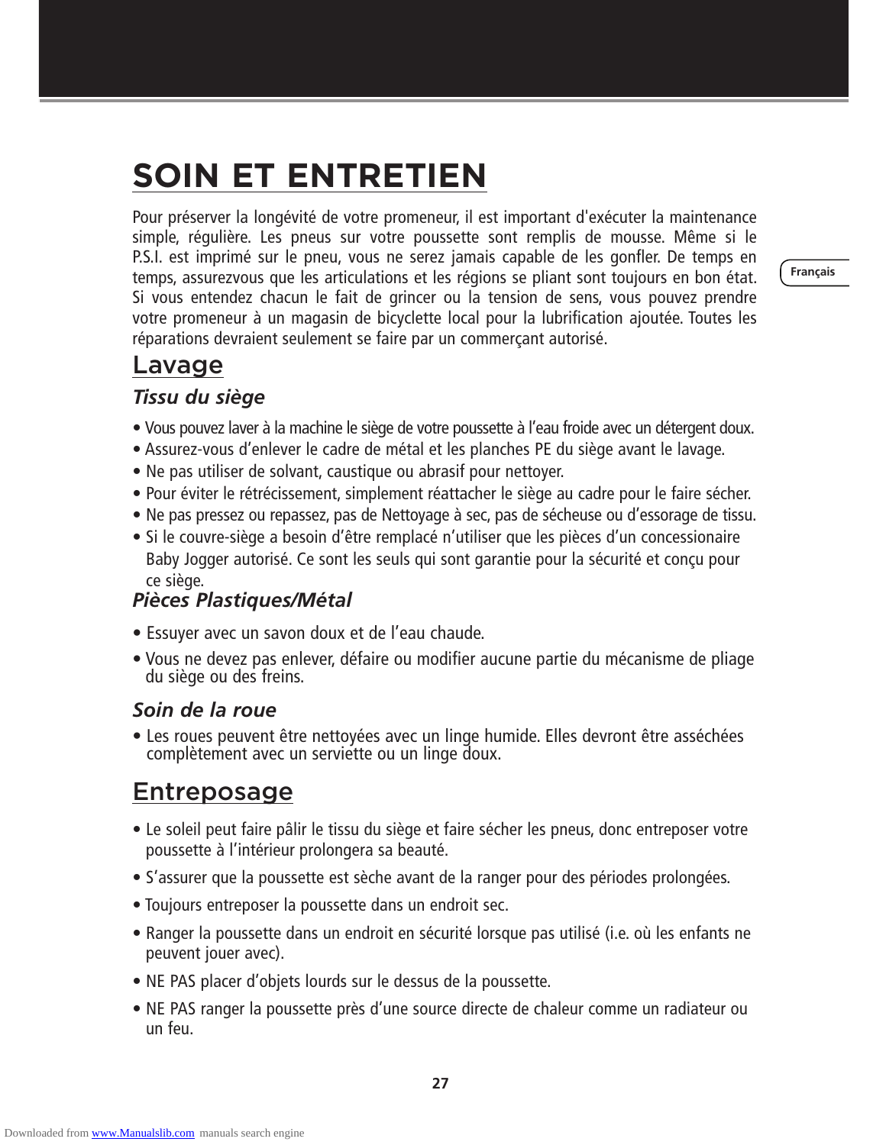# **SOIN ET ENTRETIEN**

Pour préserver la longévité de votre promeneur, il est important d'exécuter la maintenance simple, régulière. Les pneus sur votre poussette sont remplis de mousse. Même si le P.S.I. est imprimé sur le pneu, vous ne serez jamais capable de les gonfler. De temps en temps, assurezvous que les articulations et les régions se pliant sont toujours en bon état. Si vous entendez chacun le fait de grincer ou la tension de sens, vous pouvez prendre votre promeneur à un magasin de bicyclette local pour la lubrification ajoutée. Toutes les réparations devraient seulement se faire par un commerçant autorisé.

**Français**

# Lavage

#### *Tissu du siège*

- Vous pouvez laver à la machine le siège de votre poussette à l'eau froide avec un détergent doux.
- Assurez-vous d'enlever le cadre de métal et les planches PE du siège avant le lavage.
- Ne pas utiliser de solvant, caustique ou abrasif pour nettoyer.
- Pour éviter le rétrécissement, simplement réattacher le siège au cadre pour le faire sécher.
- Ne pas pressez ou repassez, pas de Nettoyage à sec, pas de sécheuse ou d'essorage de tissu.
- Si le couvre-siège a besoin d'être remplacé n'utiliser que les pièces d'un concessionaire Baby Jogger autorisé. Ce sont les seuls qui sont garantie pour la sécurité et conçu pour ce siège.

#### *Pièces Plastiques/Métal*

- Essuyer avec un savon doux et de l'eau chaude.
- Vous ne devez pas enlever, défaire ou modifier aucune partie du mécanisme de pliage du siège ou des freins.

#### *Soin de la roue*

• Les roues peuvent être nettoyées avec un linge humide. Elles devront être asséchées complètement avec un serviette ou un linge doux.

# Entreposage

- Le soleil peut faire pâlir le tissu du siège et faire sécher les pneus, donc entreposer votre poussette à l'intérieur prolongera sa beauté.
- S'assurer que la poussette est sèche avant de la ranger pour des périodes prolongées.
- Toujours entreposer la poussette dans un endroit sec.
- Ranger la poussette dans un endroit en sécurité lorsque pas utilisé (i.e. où les enfants ne peuvent jouer avec).
- NE PAS placer d'objets lourds sur le dessus de la poussette.
- NE PAS ranger la poussette près d'une source directe de chaleur comme un radiateur ou un feu.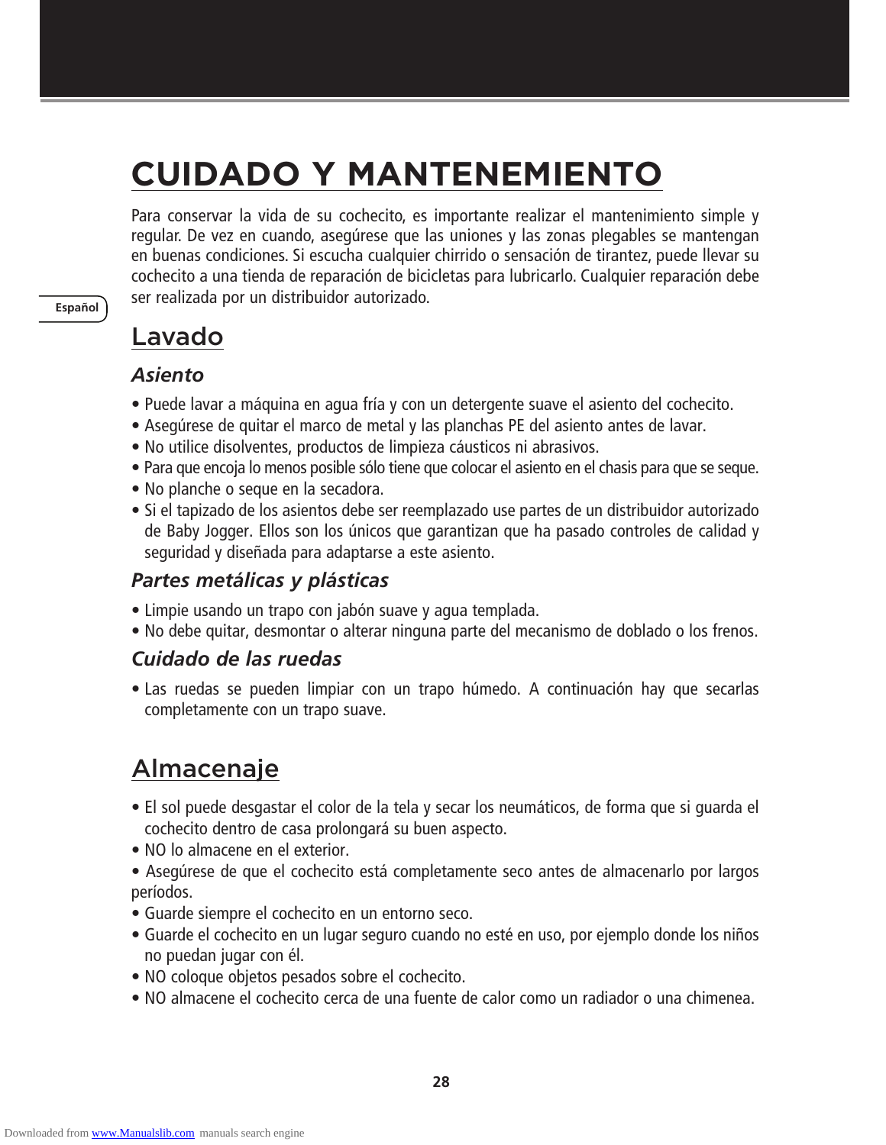# **CUIDADO Y MANTENEMIENTO**

Para conservar la vida de su cochecito, es importante realizar el mantenimiento simple y regular. De vez en cuando, asegúrese que las uniones y las zonas plegables se mantengan en buenas condiciones. Si escucha cualquier chirrido o sensación de tirantez, puede llevar su cochecito a una tienda de reparación de bicicletas para lubricarlo. Cualquier reparación debe ser realizada por un distribuidor autorizado.

# Lavado

#### *Asiento*

**Español**

- Puede lavar a máquina en agua fría y con un detergente suave el asiento del cochecito.
- Asegúrese de quitar el marco de metal y las planchas PE del asiento antes de lavar.
- No utilice disolventes, productos de limpieza cáusticos ni abrasivos.
- Para que encoja lo menos posible sólo tiene que colocar el asiento en el chasis para que se seque.
- No planche o seque en la secadora.
- Si el tapizado de los asientos debe ser reemplazado use partes de un distribuidor autorizado de Baby Jogger. Ellos son los únicos que garantizan que ha pasado controles de calidad y seguridad y diseñada para adaptarse a este asiento.

#### *Partes metálicas y plásticas*

- Limpie usando un trapo con jabón suave y agua templada.
- No debe quitar, desmontar o alterar ninguna parte del mecanismo de doblado o los frenos.

#### *Cuidado de las ruedas*

• Las ruedas se pueden limpiar con un trapo húmedo. A continuación hay que secarlas completamente con un trapo suave.

# Almacenaje

- El sol puede desgastar el color de la tela y secar los neumáticos, de forma que si guarda el cochecito dentro de casa prolongará su buen aspecto.
- NO lo almacene en el exterior.
- Asegúrese de que el cochecito está completamente seco antes de almacenarlo por largos períodos.
- Guarde siempre el cochecito en un entorno seco.
- Guarde el cochecito en un lugar seguro cuando no esté en uso, por ejemplo donde los niños no puedan jugar con él.
- NO coloque objetos pesados sobre el cochecito.
- NO almacene el cochecito cerca de una fuente de calor como un radiador o una chimenea.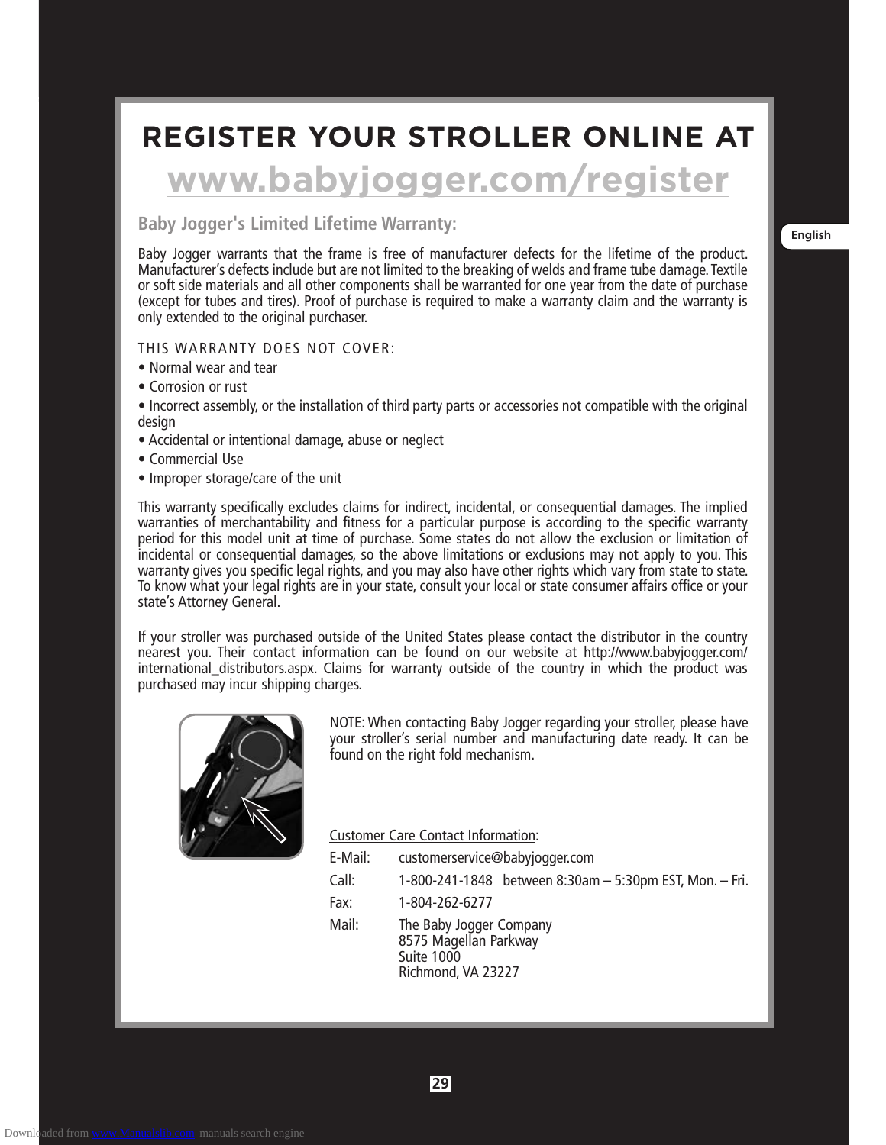# **REGISTER YOUR STROLLER ONLINE AT**

# **www.babyjogger.com/register**

### **Example 2 Indian English Baby Jogger's Limited Lifetime Warranty:**

Baby Jogger warrants that the frame is free of manufacturer defects for the lifetime of the product. Manufacturer's defects include but are not limited to the breaking of welds and frame tube damage. Textile or soft side materials and all other components shall be warranted for one year from the date of purchase (except for tubes and tires). Proof of purchase is required to make a warranty claim and the warranty is only extended to the original purchaser.

#### THIS WARRANTY DOES NOT COVER:

- Normal wear and tear
- Corrosion or rust
- Incorrect assembly, or the installation of third party parts or accessories not compatible with the original design
- Accidental or intentional damage, abuse or neglect
- Commercial Use
- Improper storage/care of the unit

This warranty specifically excludes claims for indirect, incidental, or consequential damages. The implied warranties of merchantability and fitness for a particular purpose is according to the specific warranty period for this model unit at time of purchase. Some states do not allow the exclusion or limitation of incidental or consequential damages, so the above limitations or exclusions may not apply to you. This warranty gives you specific legal rights, and you may also have other rights which vary from state to state. To know what your legal rights are in your state, consult your local or state consumer affairs office or your state's Attorney General.

If your stroller was purchased outside of the United States please contact the distributor in the country nearest you. Their contact information can be found on our website at http://www.babyjogger.com/ international\_distributors.aspx. Claims for warranty outside of the country in which the product was purchased may incur shipping charges.



NOTE: When contacting Baby Jogger regarding your stroller, please have your stroller's serial number and manufacturing date ready. It can be found on the right fold mechanism.

Customer Care Contact Information:

| E-Mail: | customerservice@babyjogger.com                                                       |  |  |
|---------|--------------------------------------------------------------------------------------|--|--|
| Call:   | 1-800-241-1848 between 8:30am - 5:30pm EST, Mon. - Fri.                              |  |  |
| Fax:    | 1-804-262-6277                                                                       |  |  |
| Mail:   | The Baby Jogger Company<br>8575 Magellan Parkway<br>Suite 1000<br>Richmond, VA 23227 |  |  |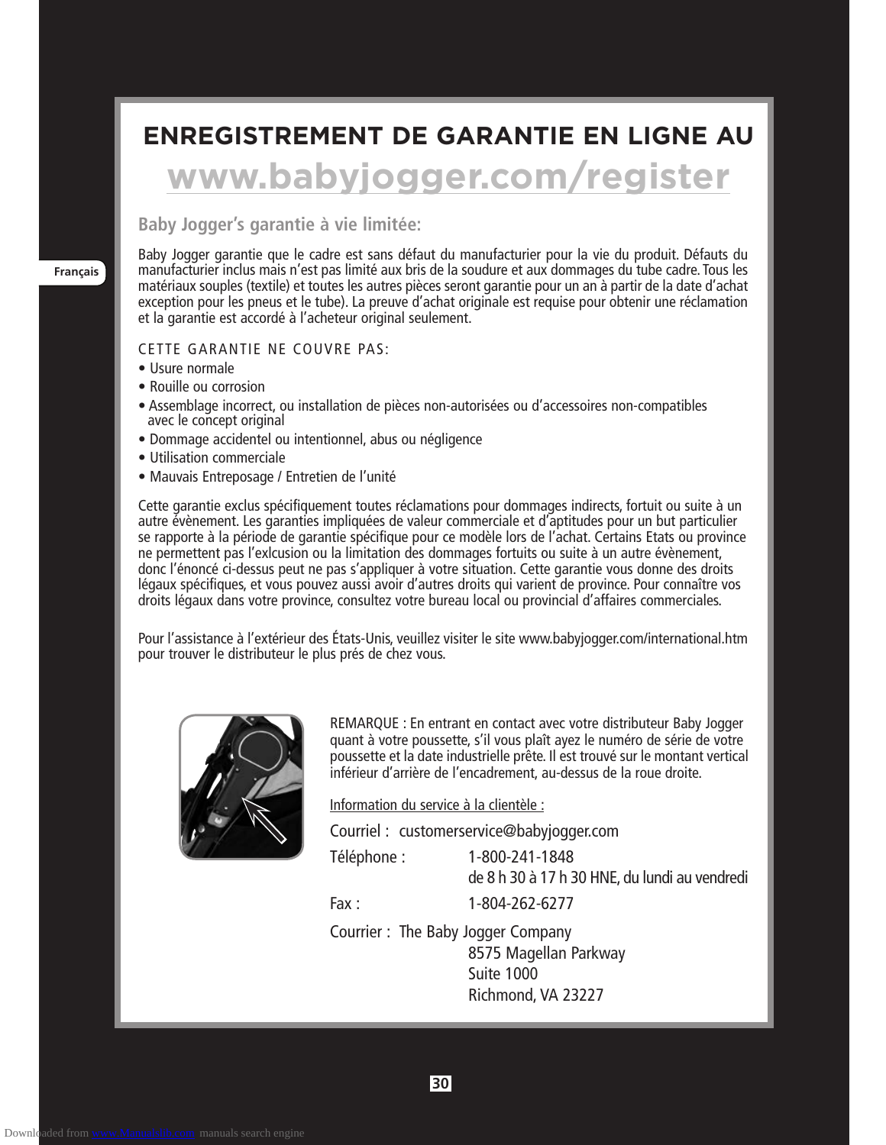# **ENREGISTREMENT DE GARANTIE EN LIGNE AU www.babyjogger.com/register**

#### **Baby Jogger's garantie à vie limitée:**

Baby Jogger garantie que le cadre est sans défaut du manufacturier pour la vie du produit. Défauts du manufacturier inclus mais n'est pas limité aux bris de la soudure et aux dommages du tube cadre. Tous les matériaux souples (textile) et toutes les autres pièces seront garantie pour un an à partir de la date d'achat exception pour les pneus et le tube). La preuve d'achat originale est requise pour obtenir une réclamation et la garantie est accordé à l'acheteur original seulement.

#### CETTE GARANTIE NE COUVRE PAS:

- Usure normale
- Rouille ou corrosion
- Assemblage incorrect, ou installation de pièces non-autorisées ou d'accessoires non-compatibles avec le concept original
- Dommage accidentel ou intentionnel, abus ou négligence
- Utilisation commerciale
- Mauvais Entreposage / Entretien de l'unité

Cette garantie exclus spécifiquement toutes réclamations pour dommages indirects, fortuit ou suite à un autre évènement. Les garanties impliquées de valeur commerciale et d'aptitudes pour un but particulier se rapporte à la période de garantie spécifique pour ce modèle lors de l'achat. Certains Etats ou province ne permettent pas l'exlcusion ou la limitation des dommages fortuits ou suite à un autre évènement, donc l'énoncé ci-dessus peut ne pas s'appliquer à votre situation. Cette garantie vous donne des droits légaux spécifiques, et vous pouvez aussi avoir d'autres droits qui varient de province. Pour connaître vos droits légaux dans votre province, consultez votre bureau local ou provincial d'affaires commerciales.

Pour l'assistance à l'extérieur des États-Unis, veuillez visiter le site www.babyjogger.com/international.htm pour trouver le distributeur le plus prés de chez vous.



REMARQUE : En entrant en contact avec votre distributeur Baby Jogger quant à votre poussette, s'il vous plaît ayez le numéro de série de votre poussette et la date industrielle prête. Il est trouvé sur le montant vertical inférieur d'arrière de l'encadrement, au-dessus de la roue droite.

Information du service à la clientèle :

Courriel : customerservice@babyjogger.com

Téléphone : 1-800-241-1848

de 8 h 30 à 17 h 30 HNE, du lundi au vendredi

Fax : 1-804-262-6277

Courrier : The Baby Jogger Company 8575 Magellan Parkway Suite 1000 Richmond, VA 23227

**Français**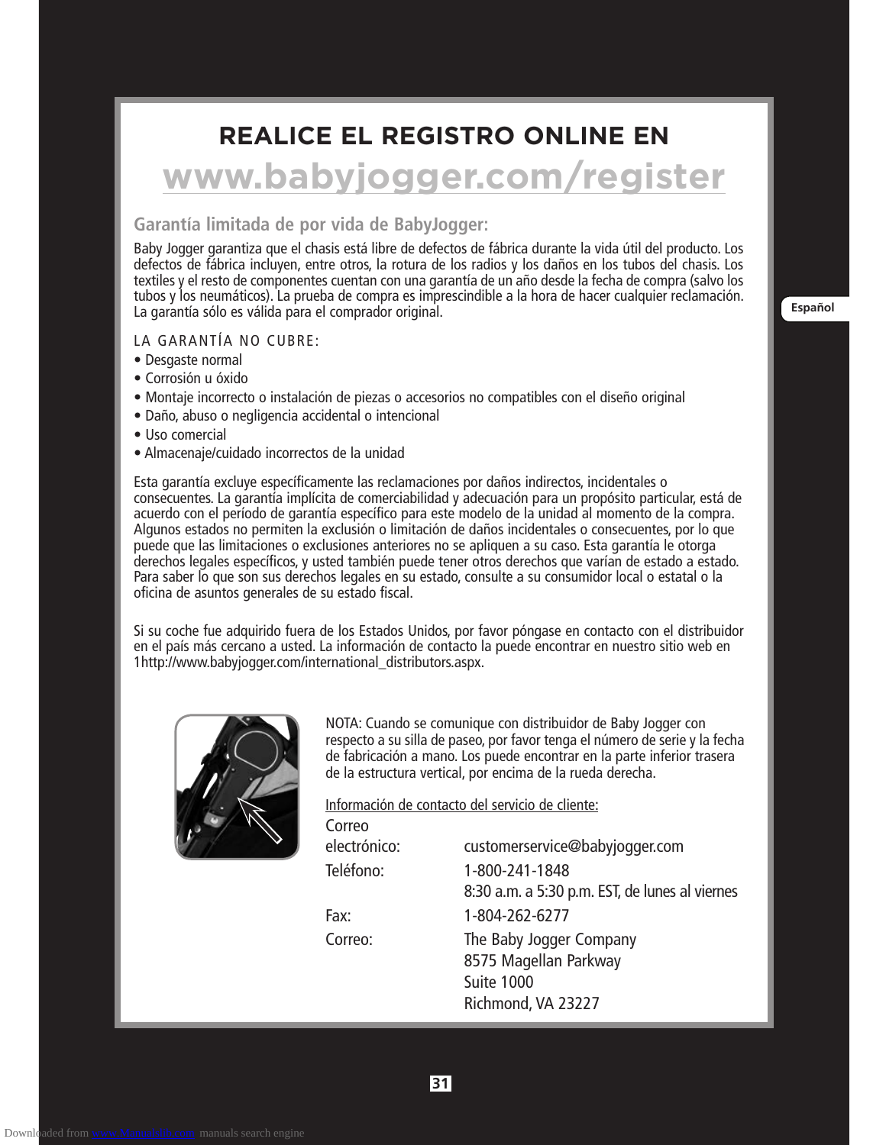# **REALICE EL REGISTRO ONLINE EN**

# **www.babyjogger.com/register**

#### **Garantía limitada de por vida de BabyJogger:**

Baby Jogger garantiza que el chasis está libre de defectos de fábrica durante la vida útil del producto. Los defectos de fábrica incluyen, entre otros, la rotura de los radios y los daños en los tubos del chasis. Los textiles y el resto de componentes cuentan con una garantía de un año desde la fecha de compra (salvo los tubos y los neumáticos). La prueba de compra es imprescindible a la hora de hacer cualquier reclamación. La garantía sólo es válida para el comprador original.

#### LA GARANTÍA NO CUBRE:

- Desgaste normal
- Corrosión u óxido
- Montaje incorrecto o instalación de piezas o accesorios no compatibles con el diseño original
- Daño, abuso o negligencia accidental o intencional
- Uso comercial
- Almacenaje/cuidado incorrectos de la unidad

Esta garantía excluye específicamente las reclamaciones por daños indirectos, incidentales o consecuentes. La garantía implícita de comerciabilidad y adecuación para un propósito particular, está de acuerdo con el período de garantía específico para este modelo de la unidad al momento de la compra. Algunos estados no permiten la exclusión o limitación de daños incidentales o consecuentes, por lo que puede que las limitaciones o exclusiones anteriores no se apliquen a su caso. Esta garantía le otorga derechos legales específicos, y usted también puede tener otros derechos que varían de estado a estado. Para saber lo que son sus derechos legales en su estado, consulte a su consumidor local o estatal o la oficina de asuntos generales de su estado fiscal.

Si su coche fue adquirido fuera de los Estados Unidos, por favor póngase en contacto con el distribuidor en el país más cercano a usted. La información de contacto la puede encontrar en nuestro sitio web en 1http://www.babyjogger.com/international\_distributors.aspx.



NOTA: Cuando se comunique con distribuidor de Baby Jogger con respecto a su silla de paseo, por favor tenga el número de serie y la fecha de fabricación a mano. Los puede encontrar en la parte inferior trasera de la estructura vertical, por encima de la rueda derecha.

Información de contacto del servicio de cliente:

| Correo       |                                                |
|--------------|------------------------------------------------|
| electrónico: | customerservice@babyjogger.com                 |
| Teléfono:    | 1-800-241-1848                                 |
|              | 8:30 a.m. a 5:30 p.m. EST, de lunes al viernes |
| Fax:         | 1-804-262-6277                                 |
| Correo:      | The Baby Jogger Company                        |
|              | 8575 Magellan Parkway                          |
|              | Suite 1000                                     |
|              | Richmond, VA 23227                             |
|              |                                                |

**Español**